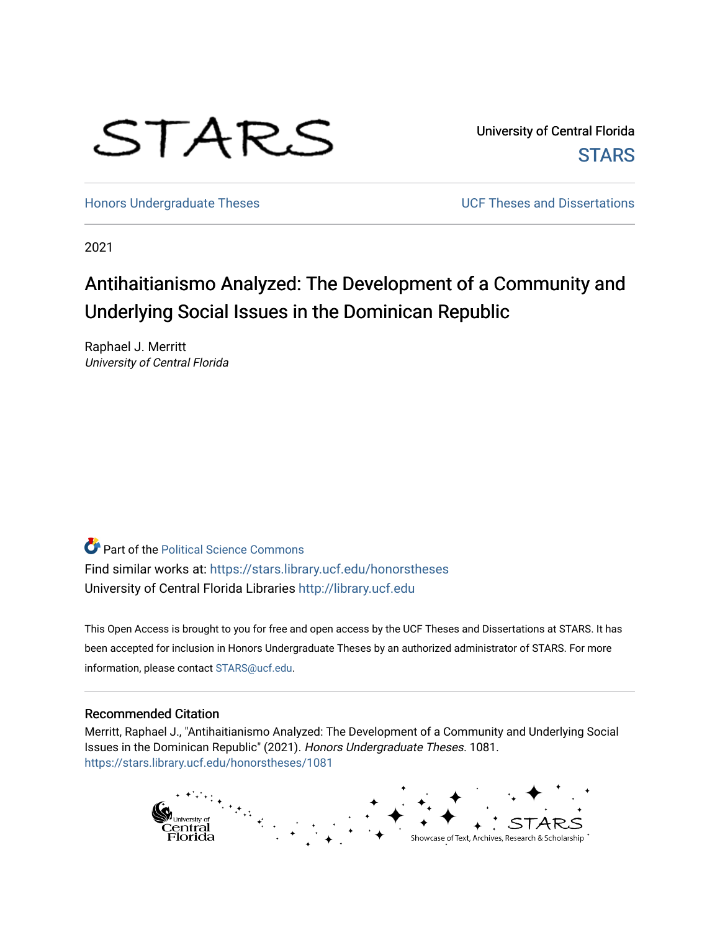

University of Central Florida **STARS** 

[Honors Undergraduate Theses](https://stars.library.ucf.edu/honorstheses) **No. 2018** UCF Theses and Dissertations

2021

# Antihaitianismo Analyzed: The Development of a Community and Underlying Social Issues in the Dominican Republic

Raphael J. Merritt University of Central Florida

**Part of the Political Science Commons** Find similar works at: <https://stars.library.ucf.edu/honorstheses> University of Central Florida Libraries [http://library.ucf.edu](http://library.ucf.edu/) 

This Open Access is brought to you for free and open access by the UCF Theses and Dissertations at STARS. It has been accepted for inclusion in Honors Undergraduate Theses by an authorized administrator of STARS. For more information, please contact [STARS@ucf.edu.](mailto:STARS@ucf.edu)

### Recommended Citation

Merritt, Raphael J., "Antihaitianismo Analyzed: The Development of a Community and Underlying Social Issues in the Dominican Republic" (2021). Honors Undergraduate Theses. 1081. [https://stars.library.ucf.edu/honorstheses/1081](https://stars.library.ucf.edu/honorstheses/1081?utm_source=stars.library.ucf.edu%2Fhonorstheses%2F1081&utm_medium=PDF&utm_campaign=PDFCoverPages)

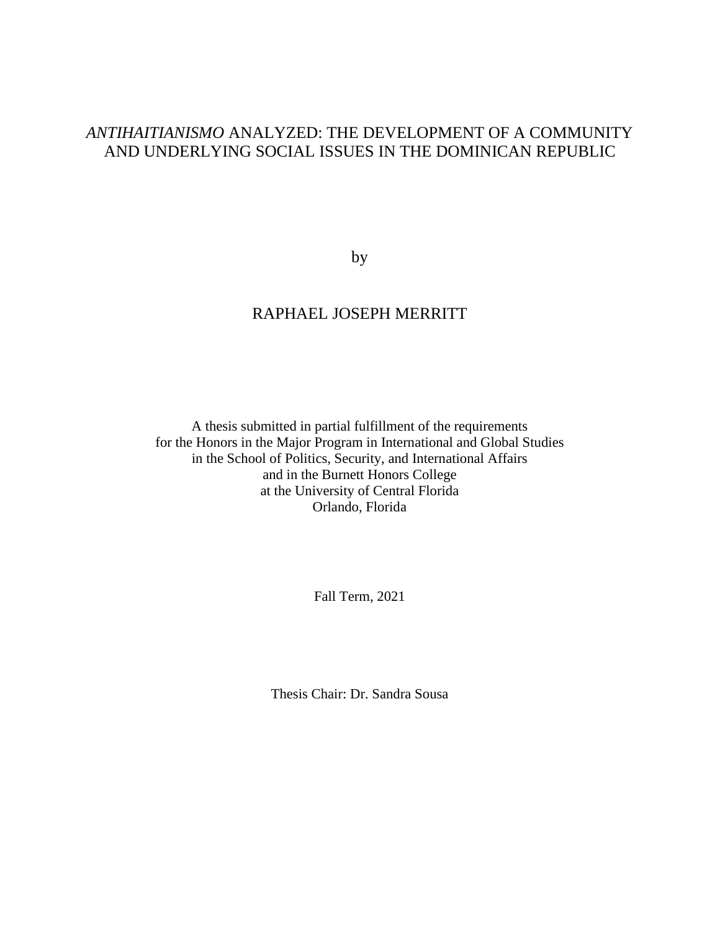## *ANTIHAITIANISMO* ANALYZED: THE DEVELOPMENT OF A COMMUNITY AND UNDERLYING SOCIAL ISSUES IN THE DOMINICAN REPUBLIC

by

## RAPHAEL JOSEPH MERRITT

A thesis submitted in partial fulfillment of the requirements for the Honors in the Major Program in International and Global Studies in the School of Politics, Security, and International Affairs and in the Burnett Honors College at the University of Central Florida Orlando, Florida

Fall Term, 2021

Thesis Chair: Dr. Sandra Sousa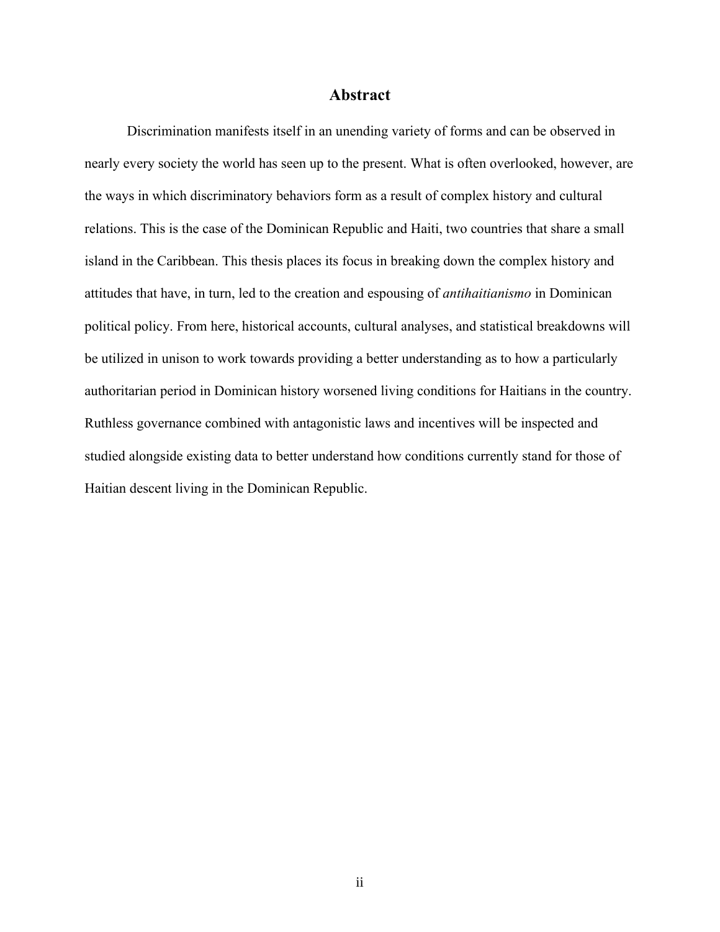### **Abstract**

Discrimination manifests itself in an unending variety of forms and can be observed in nearly every society the world has seen up to the present. What is often overlooked, however, are the ways in which discriminatory behaviors form as a result of complex history and cultural relations. This is the case of the Dominican Republic and Haiti, two countries that share a small island in the Caribbean. This thesis places its focus in breaking down the complex history and attitudes that have, in turn, led to the creation and espousing of *antihaitianismo* in Dominican political policy. From here, historical accounts, cultural analyses, and statistical breakdowns will be utilized in unison to work towards providing a better understanding as to how a particularly authoritarian period in Dominican history worsened living conditions for Haitians in the country. Ruthless governance combined with antagonistic laws and incentives will be inspected and studied alongside existing data to better understand how conditions currently stand for those of Haitian descent living in the Dominican Republic.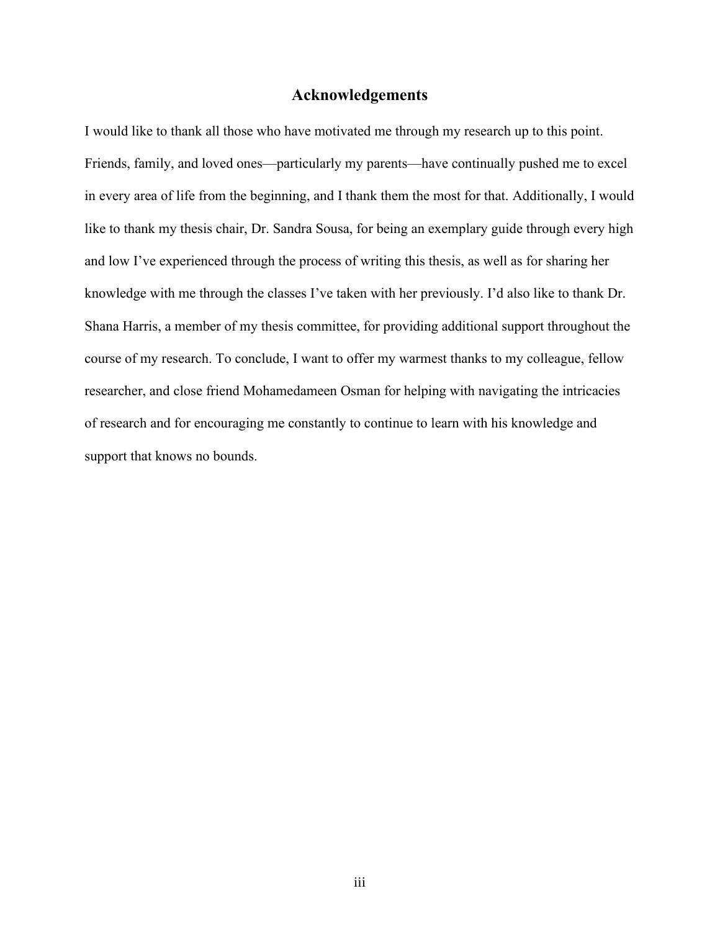### **Acknowledgements**

I would like to thank all those who have motivated me through my research up to this point. Friends, family, and loved ones—particularly my parents—have continually pushed me to excel in every area of life from the beginning, and I thank them the most for that. Additionally, I would like to thank my thesis chair, Dr. Sandra Sousa, for being an exemplary guide through every high and low I've experienced through the process of writing this thesis, as well as for sharing her knowledge with me through the classes I've taken with her previously. I'd also like to thank Dr. Shana Harris, a member of my thesis committee, for providing additional support throughout the course of my research. To conclude, I want to offer my warmest thanks to my colleague, fellow researcher, and close friend Mohamedameen Osman for helping with navigating the intricacies of research and for encouraging me constantly to continue to learn with his knowledge and support that knows no bounds.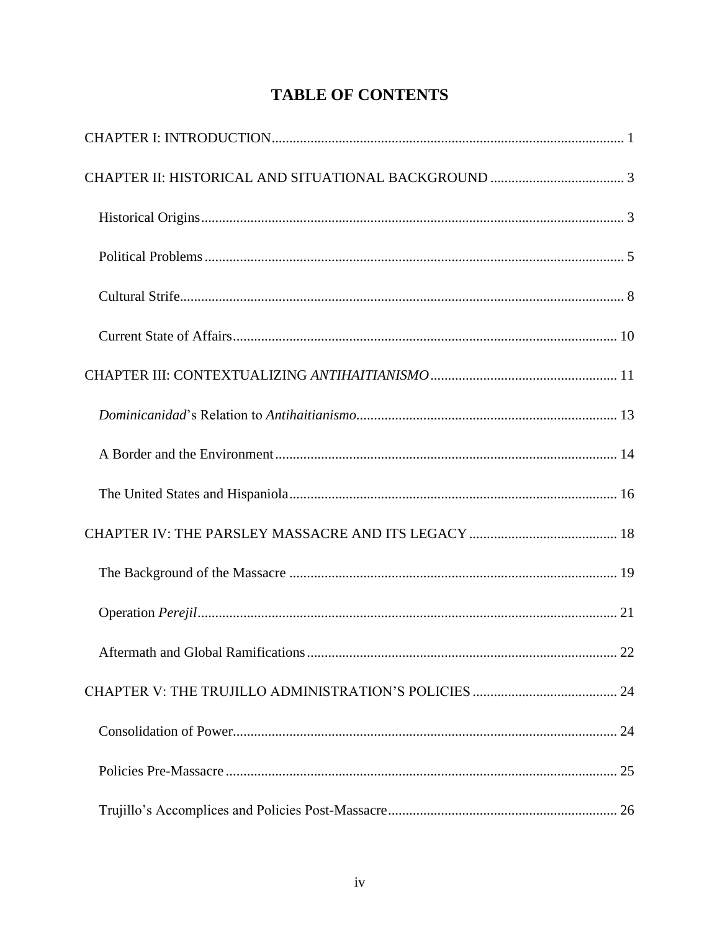## **TABLE OF CONTENTS**

| 24 |
|----|
|    |
|    |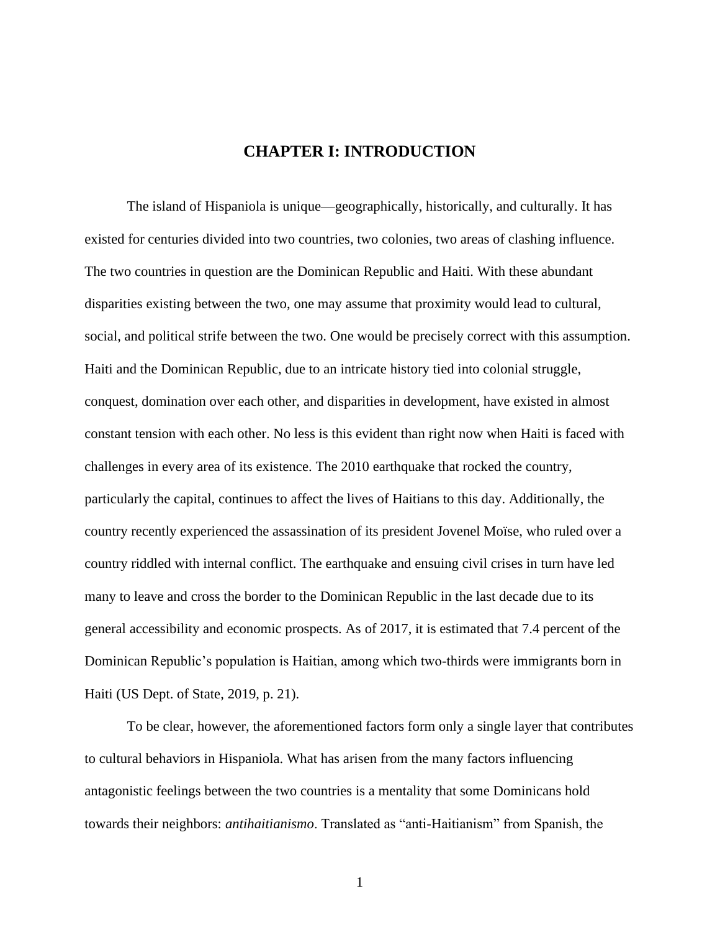## **CHAPTER I: INTRODUCTION**

<span id="page-6-0"></span>The island of Hispaniola is unique—geographically, historically, and culturally. It has existed for centuries divided into two countries, two colonies, two areas of clashing influence. The two countries in question are the Dominican Republic and Haiti. With these abundant disparities existing between the two, one may assume that proximity would lead to cultural, social, and political strife between the two. One would be precisely correct with this assumption. Haiti and the Dominican Republic, due to an intricate history tied into colonial struggle, conquest, domination over each other, and disparities in development, have existed in almost constant tension with each other. No less is this evident than right now when Haiti is faced with challenges in every area of its existence. The 2010 earthquake that rocked the country, particularly the capital, continues to affect the lives of Haitians to this day. Additionally, the country recently experienced the assassination of its president Jovenel Moïse, who ruled over a country riddled with internal conflict. The earthquake and ensuing civil crises in turn have led many to leave and cross the border to the Dominican Republic in the last decade due to its general accessibility and economic prospects. As of 2017, it is estimated that 7.4 percent of the Dominican Republic's population is Haitian, among which two-thirds were immigrants born in Haiti (US Dept. of State, 2019, p. 21).

To be clear, however, the aforementioned factors form only a single layer that contributes to cultural behaviors in Hispaniola. What has arisen from the many factors influencing antagonistic feelings between the two countries is a mentality that some Dominicans hold towards their neighbors: *antihaitianismo*. Translated as "anti-Haitianism" from Spanish, the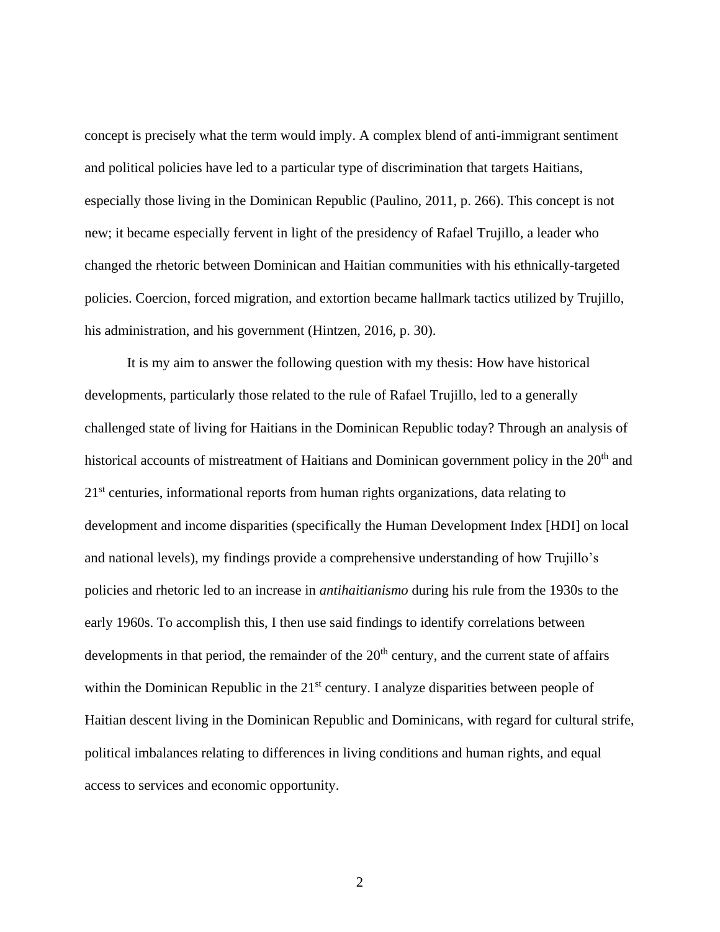concept is precisely what the term would imply. A complex blend of anti-immigrant sentiment and political policies have led to a particular type of discrimination that targets Haitians, especially those living in the Dominican Republic (Paulino, 2011, p. 266). This concept is not new; it became especially fervent in light of the presidency of Rafael Trujillo, a leader who changed the rhetoric between Dominican and Haitian communities with his ethnically-targeted policies. Coercion, forced migration, and extortion became hallmark tactics utilized by Trujillo, his administration, and his government (Hintzen, 2016, p. 30).

It is my aim to answer the following question with my thesis: How have historical developments, particularly those related to the rule of Rafael Trujillo, led to a generally challenged state of living for Haitians in the Dominican Republic today? Through an analysis of historical accounts of mistreatment of Haitians and Dominican government policy in the 20<sup>th</sup> and 21<sup>st</sup> centuries, informational reports from human rights organizations, data relating to development and income disparities (specifically the Human Development Index [HDI] on local and national levels), my findings provide a comprehensive understanding of how Trujillo's policies and rhetoric led to an increase in *antihaitianismo* during his rule from the 1930s to the early 1960s. To accomplish this, I then use said findings to identify correlations between developments in that period, the remainder of the  $20<sup>th</sup>$  century, and the current state of affairs within the Dominican Republic in the  $21<sup>st</sup>$  century. I analyze disparities between people of Haitian descent living in the Dominican Republic and Dominicans, with regard for cultural strife, political imbalances relating to differences in living conditions and human rights, and equal access to services and economic opportunity.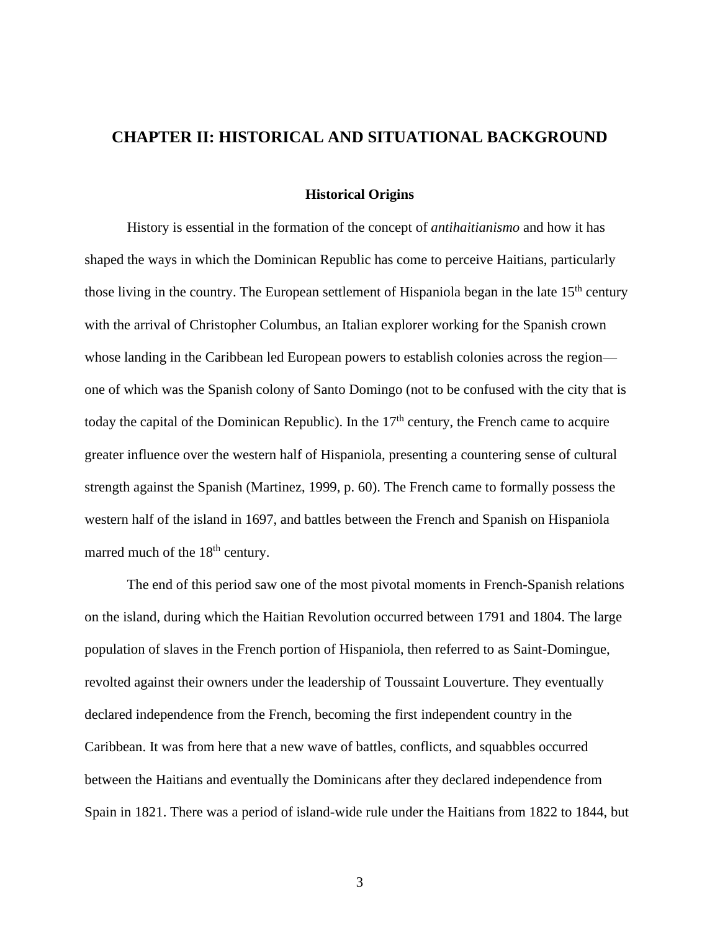## <span id="page-8-0"></span>**CHAPTER II: HISTORICAL AND SITUATIONAL BACKGROUND**

### **Historical Origins**

<span id="page-8-1"></span>History is essential in the formation of the concept of *antihaitianismo* and how it has shaped the ways in which the Dominican Republic has come to perceive Haitians, particularly those living in the country. The European settlement of Hispaniola began in the late  $15<sup>th</sup>$  century with the arrival of Christopher Columbus, an Italian explorer working for the Spanish crown whose landing in the Caribbean led European powers to establish colonies across the region one of which was the Spanish colony of Santo Domingo (not to be confused with the city that is today the capital of the Dominican Republic). In the  $17<sup>th</sup>$  century, the French came to acquire greater influence over the western half of Hispaniola, presenting a countering sense of cultural strength against the Spanish (Martinez, 1999, p. 60). The French came to formally possess the western half of the island in 1697, and battles between the French and Spanish on Hispaniola marred much of the  $18<sup>th</sup>$  century.

The end of this period saw one of the most pivotal moments in French-Spanish relations on the island, during which the Haitian Revolution occurred between 1791 and 1804. The large population of slaves in the French portion of Hispaniola, then referred to as Saint-Domingue, revolted against their owners under the leadership of Toussaint Louverture. They eventually declared independence from the French, becoming the first independent country in the Caribbean. It was from here that a new wave of battles, conflicts, and squabbles occurred between the Haitians and eventually the Dominicans after they declared independence from Spain in 1821. There was a period of island-wide rule under the Haitians from 1822 to 1844, but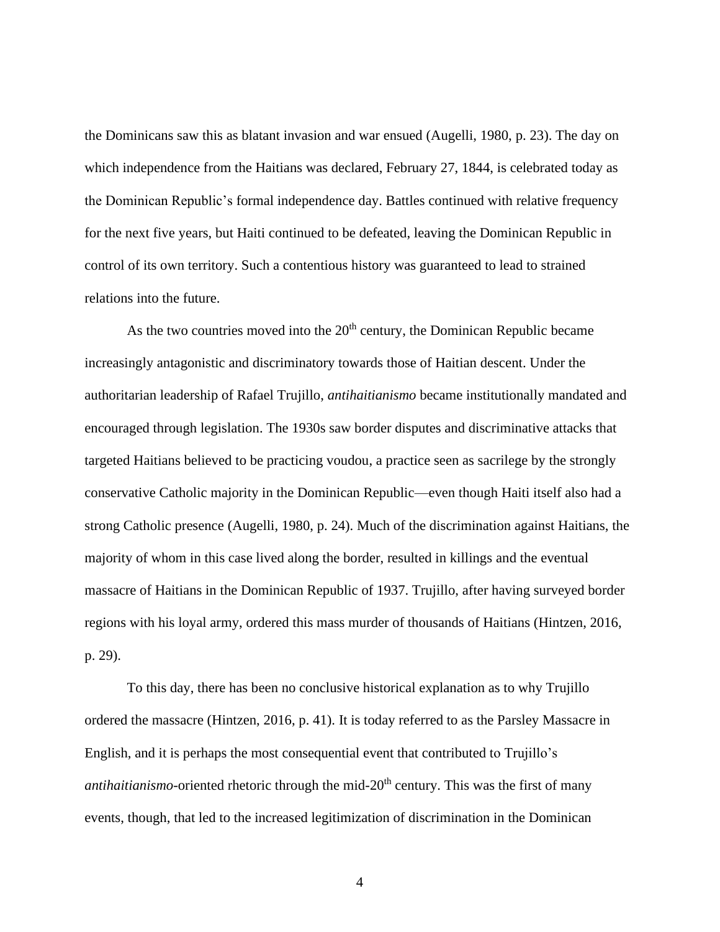the Dominicans saw this as blatant invasion and war ensued (Augelli, 1980, p. 23). The day on which independence from the Haitians was declared, February 27, 1844, is celebrated today as the Dominican Republic's formal independence day. Battles continued with relative frequency for the next five years, but Haiti continued to be defeated, leaving the Dominican Republic in control of its own territory. Such a contentious history was guaranteed to lead to strained relations into the future.

As the two countries moved into the  $20<sup>th</sup>$  century, the Dominican Republic became increasingly antagonistic and discriminatory towards those of Haitian descent. Under the authoritarian leadership of Rafael Trujillo, *antihaitianismo* became institutionally mandated and encouraged through legislation. The 1930s saw border disputes and discriminative attacks that targeted Haitians believed to be practicing voudou, a practice seen as sacrilege by the strongly conservative Catholic majority in the Dominican Republic—even though Haiti itself also had a strong Catholic presence (Augelli, 1980, p. 24). Much of the discrimination against Haitians, the majority of whom in this case lived along the border, resulted in killings and the eventual massacre of Haitians in the Dominican Republic of 1937. Trujillo, after having surveyed border regions with his loyal army, ordered this mass murder of thousands of Haitians (Hintzen, 2016, p. 29).

To this day, there has been no conclusive historical explanation as to why Trujillo ordered the massacre (Hintzen, 2016, p. 41). It is today referred to as the Parsley Massacre in English, and it is perhaps the most consequential event that contributed to Trujillo's *antihaitianismo*-oriented rhetoric through the mid-20<sup>th</sup> century. This was the first of many events, though, that led to the increased legitimization of discrimination in the Dominican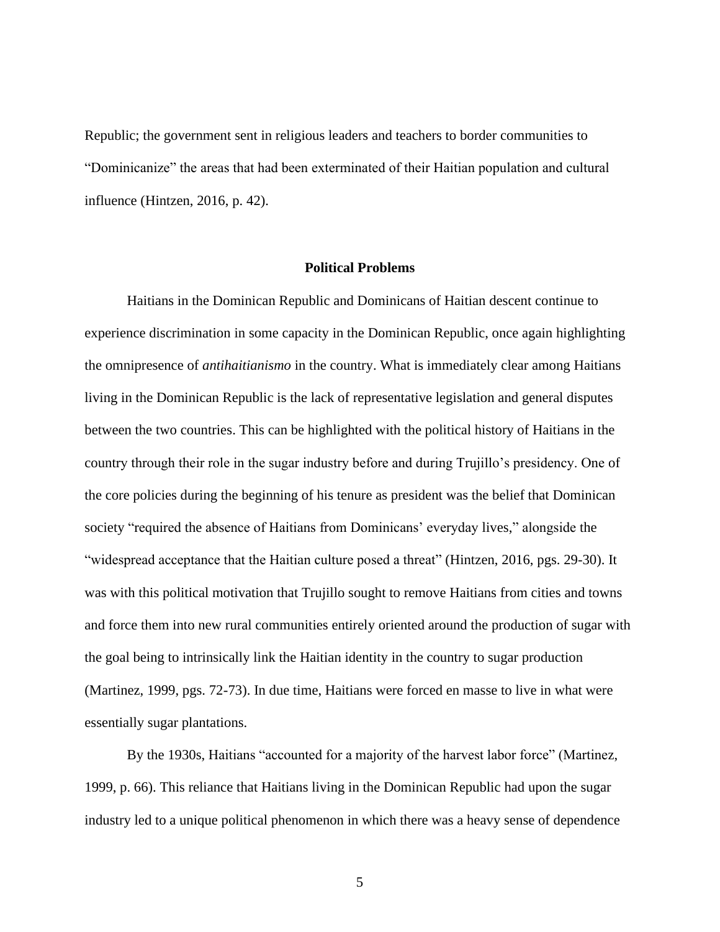Republic; the government sent in religious leaders and teachers to border communities to "Dominicanize" the areas that had been exterminated of their Haitian population and cultural influence (Hintzen, 2016, p. 42).

### **Political Problems**

<span id="page-10-0"></span>Haitians in the Dominican Republic and Dominicans of Haitian descent continue to experience discrimination in some capacity in the Dominican Republic, once again highlighting the omnipresence of *antihaitianismo* in the country. What is immediately clear among Haitians living in the Dominican Republic is the lack of representative legislation and general disputes between the two countries. This can be highlighted with the political history of Haitians in the country through their role in the sugar industry before and during Trujillo's presidency. One of the core policies during the beginning of his tenure as president was the belief that Dominican society "required the absence of Haitians from Dominicans' everyday lives," alongside the "widespread acceptance that the Haitian culture posed a threat" (Hintzen, 2016, pgs. 29-30). It was with this political motivation that Trujillo sought to remove Haitians from cities and towns and force them into new rural communities entirely oriented around the production of sugar with the goal being to intrinsically link the Haitian identity in the country to sugar production (Martinez, 1999, pgs. 72-73). In due time, Haitians were forced en masse to live in what were essentially sugar plantations.

By the 1930s, Haitians "accounted for a majority of the harvest labor force" (Martinez, 1999, p. 66). This reliance that Haitians living in the Dominican Republic had upon the sugar industry led to a unique political phenomenon in which there was a heavy sense of dependence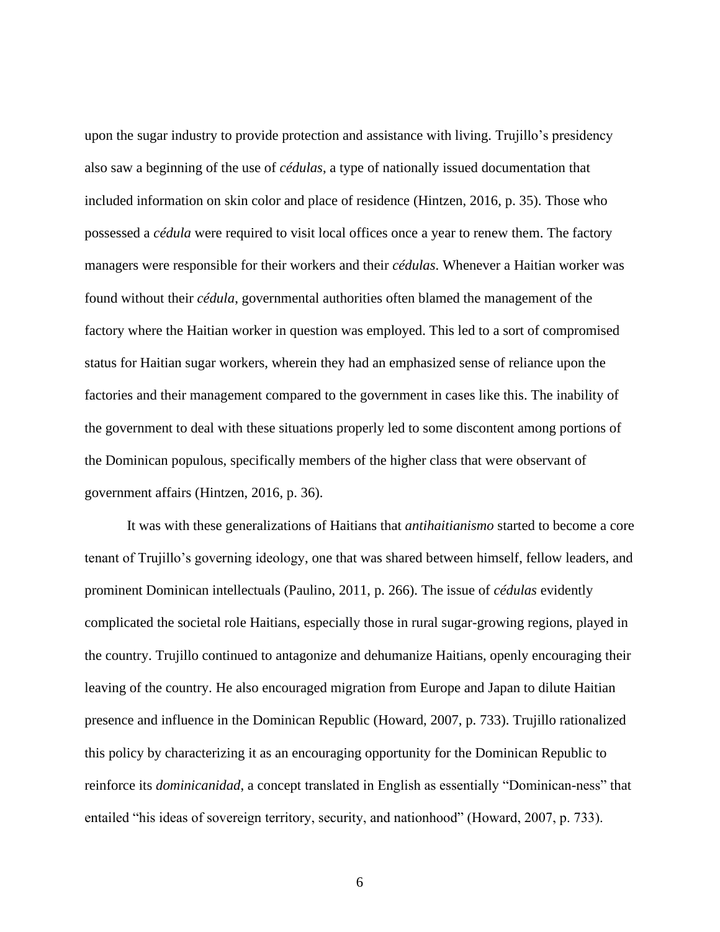upon the sugar industry to provide protection and assistance with living. Trujillo's presidency also saw a beginning of the use of *cédulas*, a type of nationally issued documentation that included information on skin color and place of residence (Hintzen, 2016, p. 35). Those who possessed a *cédula* were required to visit local offices once a year to renew them. The factory managers were responsible for their workers and their *cédulas*. Whenever a Haitian worker was found without their *cédula*, governmental authorities often blamed the management of the factory where the Haitian worker in question was employed. This led to a sort of compromised status for Haitian sugar workers, wherein they had an emphasized sense of reliance upon the factories and their management compared to the government in cases like this. The inability of the government to deal with these situations properly led to some discontent among portions of the Dominican populous, specifically members of the higher class that were observant of government affairs (Hintzen, 2016, p. 36).

It was with these generalizations of Haitians that *antihaitianismo* started to become a core tenant of Trujillo's governing ideology, one that was shared between himself, fellow leaders, and prominent Dominican intellectuals (Paulino, 2011, p. 266). The issue of *cédulas* evidently complicated the societal role Haitians, especially those in rural sugar-growing regions, played in the country. Trujillo continued to antagonize and dehumanize Haitians, openly encouraging their leaving of the country. He also encouraged migration from Europe and Japan to dilute Haitian presence and influence in the Dominican Republic (Howard, 2007, p. 733). Trujillo rationalized this policy by characterizing it as an encouraging opportunity for the Dominican Republic to reinforce its *dominicanidad*, a concept translated in English as essentially "Dominican-ness" that entailed "his ideas of sovereign territory, security, and nationhood" (Howard, 2007, p. 733).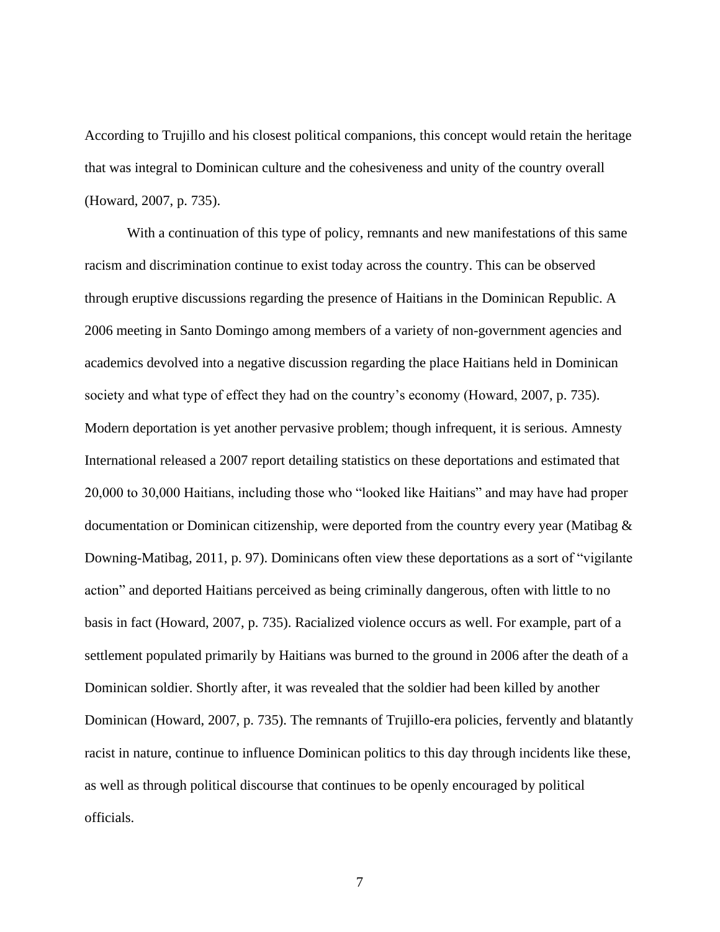According to Trujillo and his closest political companions, this concept would retain the heritage that was integral to Dominican culture and the cohesiveness and unity of the country overall (Howard, 2007, p. 735).

With a continuation of this type of policy, remnants and new manifestations of this same racism and discrimination continue to exist today across the country. This can be observed through eruptive discussions regarding the presence of Haitians in the Dominican Republic. A 2006 meeting in Santo Domingo among members of a variety of non-government agencies and academics devolved into a negative discussion regarding the place Haitians held in Dominican society and what type of effect they had on the country's economy (Howard, 2007, p. 735). Modern deportation is yet another pervasive problem; though infrequent, it is serious. Amnesty International released a 2007 report detailing statistics on these deportations and estimated that 20,000 to 30,000 Haitians, including those who "looked like Haitians" and may have had proper documentation or Dominican citizenship, were deported from the country every year (Matibag & Downing-Matibag, 2011, p. 97). Dominicans often view these deportations as a sort of "vigilante action" and deported Haitians perceived as being criminally dangerous, often with little to no basis in fact (Howard, 2007, p. 735). Racialized violence occurs as well. For example, part of a settlement populated primarily by Haitians was burned to the ground in 2006 after the death of a Dominican soldier. Shortly after, it was revealed that the soldier had been killed by another Dominican (Howard, 2007, p. 735). The remnants of Trujillo-era policies, fervently and blatantly racist in nature, continue to influence Dominican politics to this day through incidents like these, as well as through political discourse that continues to be openly encouraged by political officials.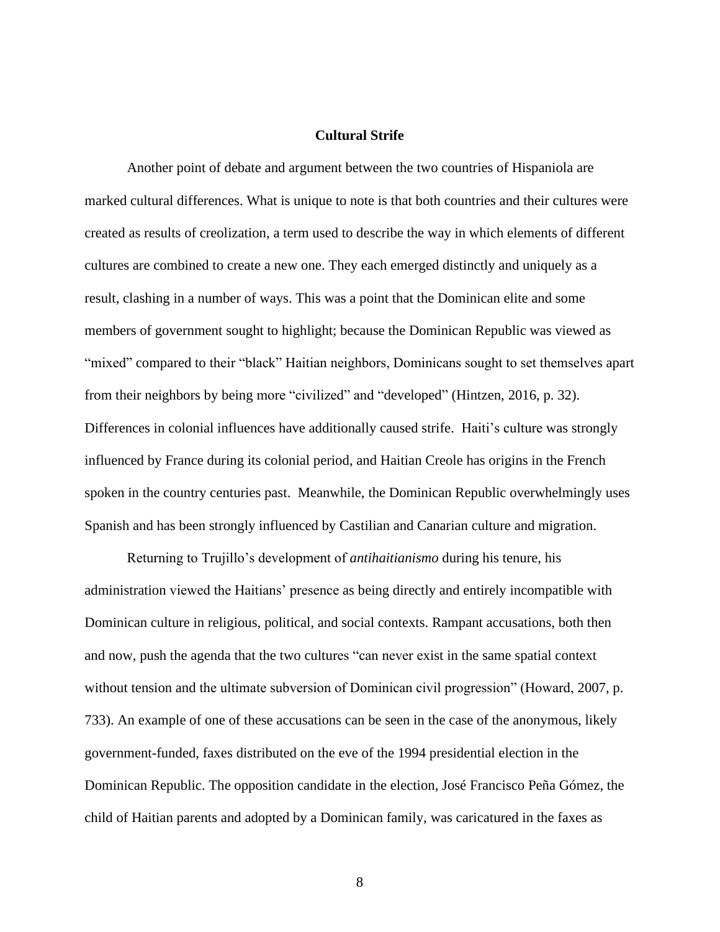### **Cultural Strife**

<span id="page-13-0"></span>Another point of debate and argument between the two countries of Hispaniola are marked cultural differences. What is unique to note is that both countries and their cultures were created as results of creolization, a term used to describe the way in which elements of different cultures are combined to create a new one. They each emerged distinctly and uniquely as a result, clashing in a number of ways. This was a point that the Dominican elite and some members of government sought to highlight; because the Dominican Republic was viewed as "mixed" compared to their "black" Haitian neighbors, Dominicans sought to set themselves apart from their neighbors by being more "civilized" and "developed" (Hintzen, 2016, p. 32). Differences in colonial influences have additionally caused strife. Haiti's culture was strongly influenced by France during its colonial period, and Haitian Creole has origins in the French spoken in the country centuries past. Meanwhile, the Dominican Republic overwhelmingly uses Spanish and has been strongly influenced by Castilian and Canarian culture and migration.

Returning to Trujillo's development of *antihaitianismo* during his tenure, his administration viewed the Haitians' presence as being directly and entirely incompatible with Dominican culture in religious, political, and social contexts. Rampant accusations, both then and now, push the agenda that the two cultures "can never exist in the same spatial context without tension and the ultimate subversion of Dominican civil progression" (Howard, 2007, p. 733). An example of one of these accusations can be seen in the case of the anonymous, likely government-funded, faxes distributed on the eve of the 1994 presidential election in the Dominican Republic. The opposition candidate in the election, José Francisco Peña Gómez, the child of Haitian parents and adopted by a Dominican family, was caricatured in the faxes as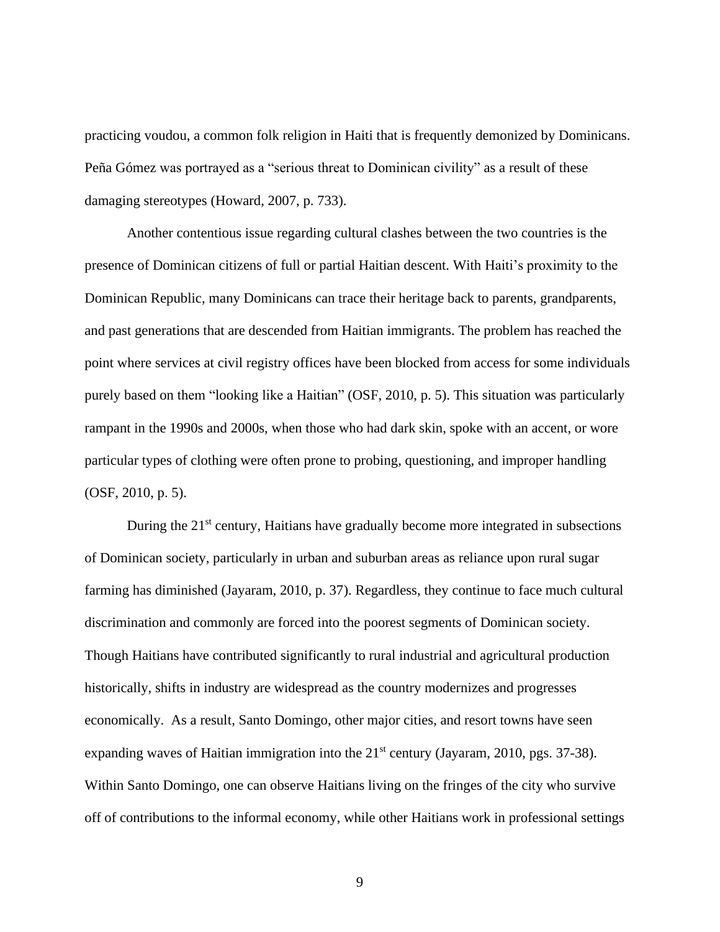practicing voudou, a common folk religion in Haiti that is frequently demonized by Dominicans. Peña Gómez was portrayed as a "serious threat to Dominican civility" as a result of these damaging stereotypes (Howard, 2007, p. 733).

Another contentious issue regarding cultural clashes between the two countries is the presence of Dominican citizens of full or partial Haitian descent. With Haiti's proximity to the Dominican Republic, many Dominicans can trace their heritage back to parents, grandparents, and past generations that are descended from Haitian immigrants. The problem has reached the point where services at civil registry offices have been blocked from access for some individuals purely based on them "looking like a Haitian" (OSF, 2010, p. 5). This situation was particularly rampant in the 1990s and 2000s, when those who had dark skin, spoke with an accent, or wore particular types of clothing were often prone to probing, questioning, and improper handling (OSF, 2010, p. 5).

During the  $21<sup>st</sup>$  century, Haitians have gradually become more integrated in subsections of Dominican society, particularly in urban and suburban areas as reliance upon rural sugar farming has diminished (Jayaram, 2010, p. 37). Regardless, they continue to face much cultural discrimination and commonly are forced into the poorest segments of Dominican society. Though Haitians have contributed significantly to rural industrial and agricultural production historically, shifts in industry are widespread as the country modernizes and progresses economically. As a result, Santo Domingo, other major cities, and resort towns have seen expanding waves of Haitian immigration into the 21<sup>st</sup> century (Jayaram, 2010, pgs. 37-38). Within Santo Domingo, one can observe Haitians living on the fringes of the city who survive off of contributions to the informal economy, while other Haitians work in professional settings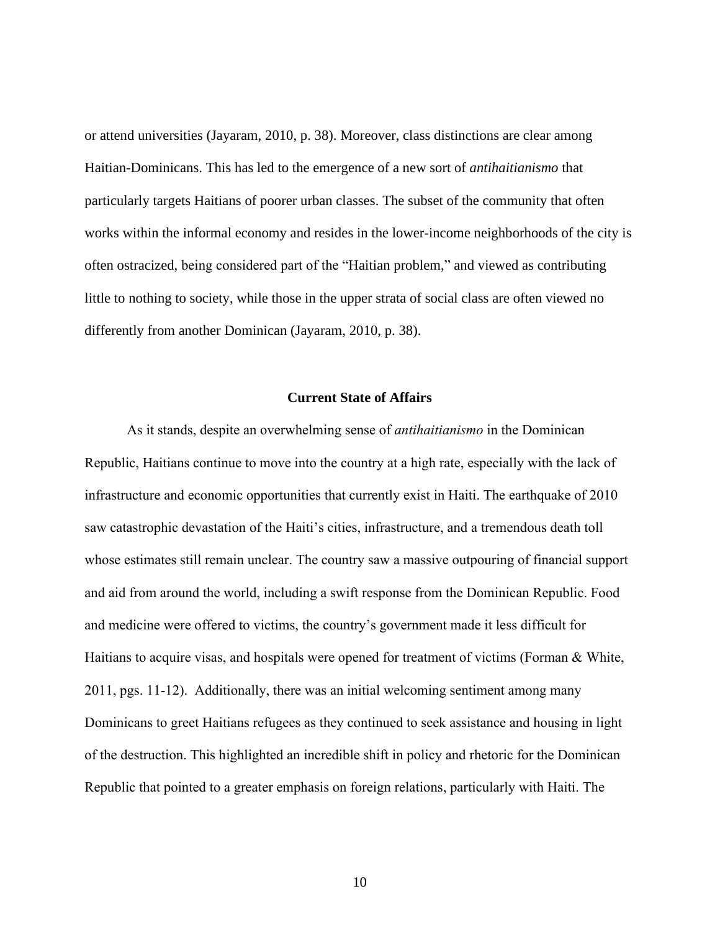or attend universities (Jayaram, 2010, p. 38). Moreover, class distinctions are clear among Haitian-Dominicans. This has led to the emergence of a new sort of *antihaitianismo* that particularly targets Haitians of poorer urban classes. The subset of the community that often works within the informal economy and resides in the lower-income neighborhoods of the city is often ostracized, being considered part of the "Haitian problem," and viewed as contributing little to nothing to society, while those in the upper strata of social class are often viewed no differently from another Dominican (Jayaram, 2010, p. 38).

### **Current State of Affairs**

<span id="page-15-0"></span>As it stands, despite an overwhelming sense of *antihaitianismo* in the Dominican Republic, Haitians continue to move into the country at a high rate, especially with the lack of infrastructure and economic opportunities that currently exist in Haiti. The earthquake of 2010 saw catastrophic devastation of the Haiti's cities, infrastructure, and a tremendous death toll whose estimates still remain unclear. The country saw a massive outpouring of financial support and aid from around the world, including a swift response from the Dominican Republic. Food and medicine were offered to victims, the country's government made it less difficult for Haitians to acquire visas, and hospitals were opened for treatment of victims (Forman & White, 2011, pgs. 11-12). Additionally, there was an initial welcoming sentiment among many Dominicans to greet Haitians refugees as they continued to seek assistance and housing in light of the destruction. This highlighted an incredible shift in policy and rhetoric for the Dominican Republic that pointed to a greater emphasis on foreign relations, particularly with Haiti. The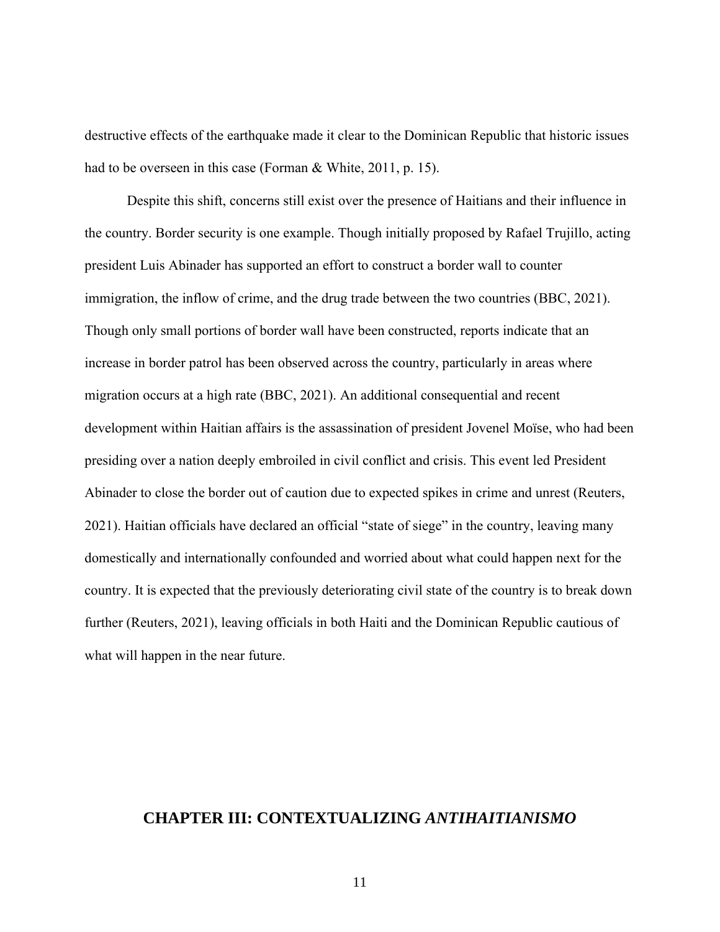destructive effects of the earthquake made it clear to the Dominican Republic that historic issues had to be overseen in this case (Forman & White, 2011, p. 15).

Despite this shift, concerns still exist over the presence of Haitians and their influence in the country. Border security is one example. Though initially proposed by Rafael Trujillo, acting president Luis Abinader has supported an effort to construct a border wall to counter immigration, the inflow of crime, and the drug trade between the two countries (BBC, 2021). Though only small portions of border wall have been constructed, reports indicate that an increase in border patrol has been observed across the country, particularly in areas where migration occurs at a high rate (BBC, 2021). An additional consequential and recent development within Haitian affairs is the assassination of president Jovenel Moïse, who had been presiding over a nation deeply embroiled in civil conflict and crisis. This event led President Abinader to close the border out of caution due to expected spikes in crime and unrest (Reuters, 2021). Haitian officials have declared an official "state of siege" in the country, leaving many domestically and internationally confounded and worried about what could happen next for the country. It is expected that the previously deteriorating civil state of the country is to break down further (Reuters, 2021), leaving officials in both Haiti and the Dominican Republic cautious of what will happen in the near future.

### <span id="page-16-0"></span>**CHAPTER III: CONTEXTUALIZING** *ANTIHAITIANISMO*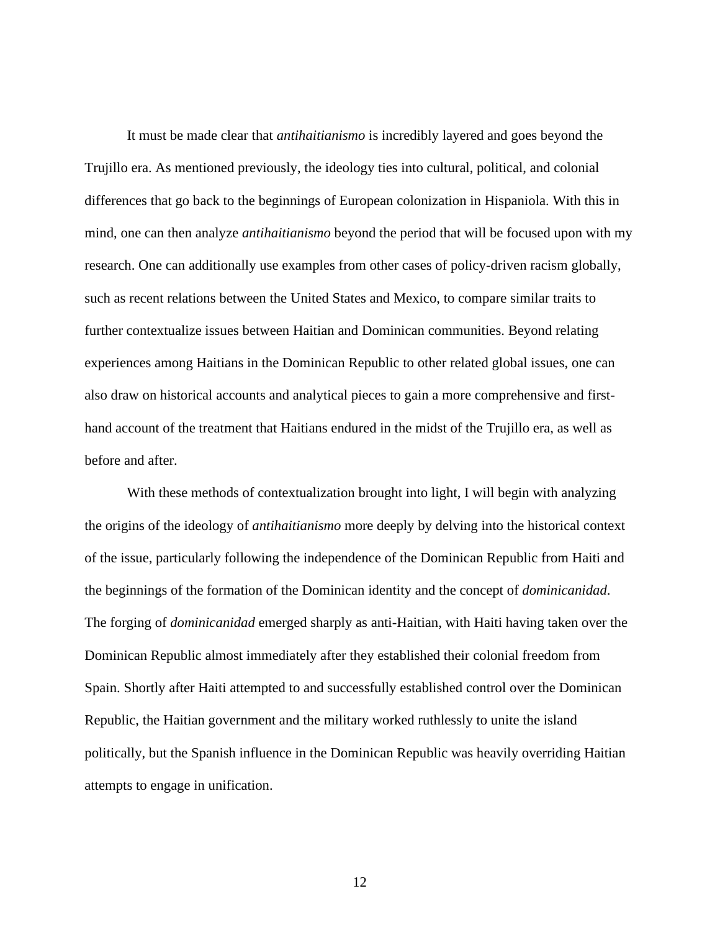It must be made clear that *antihaitianismo* is incredibly layered and goes beyond the Trujillo era. As mentioned previously, the ideology ties into cultural, political, and colonial differences that go back to the beginnings of European colonization in Hispaniola. With this in mind, one can then analyze *antihaitianismo* beyond the period that will be focused upon with my research. One can additionally use examples from other cases of policy-driven racism globally, such as recent relations between the United States and Mexico, to compare similar traits to further contextualize issues between Haitian and Dominican communities. Beyond relating experiences among Haitians in the Dominican Republic to other related global issues, one can also draw on historical accounts and analytical pieces to gain a more comprehensive and firsthand account of the treatment that Haitians endured in the midst of the Trujillo era, as well as before and after.

With these methods of contextualization brought into light, I will begin with analyzing the origins of the ideology of *antihaitianismo* more deeply by delving into the historical context of the issue, particularly following the independence of the Dominican Republic from Haiti and the beginnings of the formation of the Dominican identity and the concept of *dominicanidad*. The forging of *dominicanidad* emerged sharply as anti-Haitian, with Haiti having taken over the Dominican Republic almost immediately after they established their colonial freedom from Spain. Shortly after Haiti attempted to and successfully established control over the Dominican Republic, the Haitian government and the military worked ruthlessly to unite the island politically, but the Spanish influence in the Dominican Republic was heavily overriding Haitian attempts to engage in unification.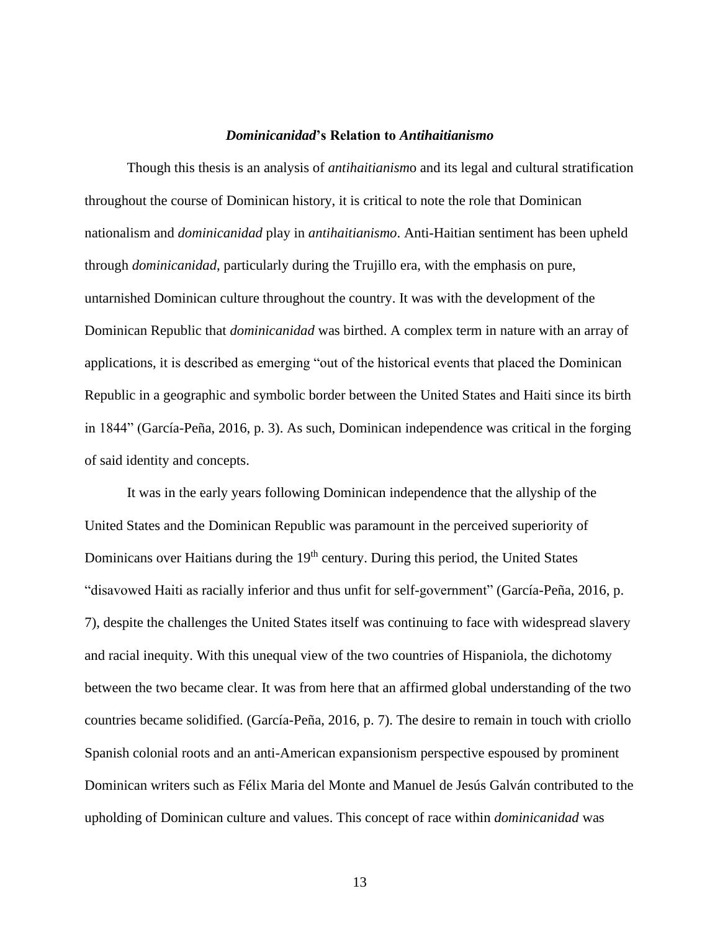### *Dominicanidad***'s Relation to** *Antihaitianismo*

<span id="page-18-0"></span>Though this thesis is an analysis of *antihaitianism*o and its legal and cultural stratification throughout the course of Dominican history, it is critical to note the role that Dominican nationalism and *dominicanidad* play in *antihaitianismo*. Anti-Haitian sentiment has been upheld through *dominicanidad*, particularly during the Trujillo era, with the emphasis on pure, untarnished Dominican culture throughout the country. It was with the development of the Dominican Republic that *dominicanidad* was birthed. A complex term in nature with an array of applications, it is described as emerging "out of the historical events that placed the Dominican Republic in a geographic and symbolic border between the United States and Haiti since its birth in 1844" (García-Peña, 2016, p. 3). As such, Dominican independence was critical in the forging of said identity and concepts.

It was in the early years following Dominican independence that the allyship of the United States and the Dominican Republic was paramount in the perceived superiority of Dominicans over Haitians during the 19<sup>th</sup> century. During this period, the United States "disavowed Haiti as racially inferior and thus unfit for self-government" (García-Peña, 2016, p. 7), despite the challenges the United States itself was continuing to face with widespread slavery and racial inequity. With this unequal view of the two countries of Hispaniola, the dichotomy between the two became clear. It was from here that an affirmed global understanding of the two countries became solidified. (García-Peña, 2016, p. 7). The desire to remain in touch with criollo Spanish colonial roots and an anti-American expansionism perspective espoused by prominent Dominican writers such as Félix Maria del Monte and Manuel de Jesús Galván contributed to the upholding of Dominican culture and values. This concept of race within *dominicanidad* was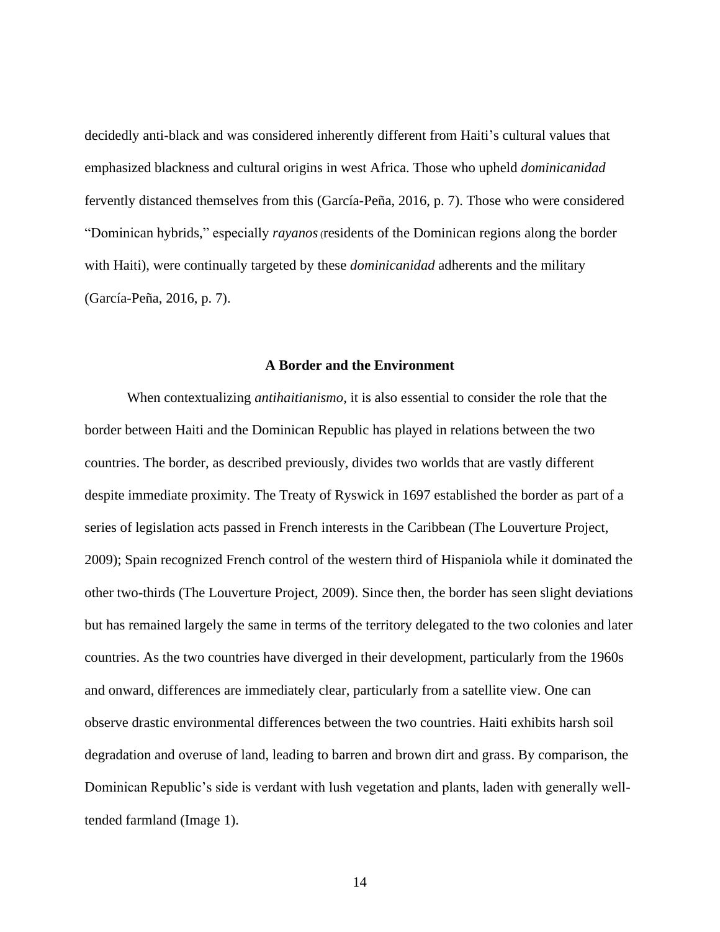decidedly anti-black and was considered inherently different from Haiti's cultural values that emphasized blackness and cultural origins in west Africa. Those who upheld *dominicanidad* fervently distanced themselves from this (García-Peña, 2016, p. 7). Those who were considered "Dominican hybrids," especially *rayanos* (residents of the Dominican regions along the border with Haiti), were continually targeted by these *dominicanidad* adherents and the military (García-Peña, 2016, p. 7).

### **A Border and the Environment**

<span id="page-19-0"></span>When contextualizing *antihaitianismo*, it is also essential to consider the role that the border between Haiti and the Dominican Republic has played in relations between the two countries. The border, as described previously, divides two worlds that are vastly different despite immediate proximity. The Treaty of Ryswick in 1697 established the border as part of a series of legislation acts passed in French interests in the Caribbean (The Louverture Project, 2009); Spain recognized French control of the western third of Hispaniola while it dominated the other two-thirds (The Louverture Project, 2009). Since then, the border has seen slight deviations but has remained largely the same in terms of the territory delegated to the two colonies and later countries. As the two countries have diverged in their development, particularly from the 1960s and onward, differences are immediately clear, particularly from a satellite view. One can observe drastic environmental differences between the two countries. Haiti exhibits harsh soil degradation and overuse of land, leading to barren and brown dirt and grass. By comparison, the Dominican Republic's side is verdant with lush vegetation and plants, laden with generally welltended farmland (Image 1).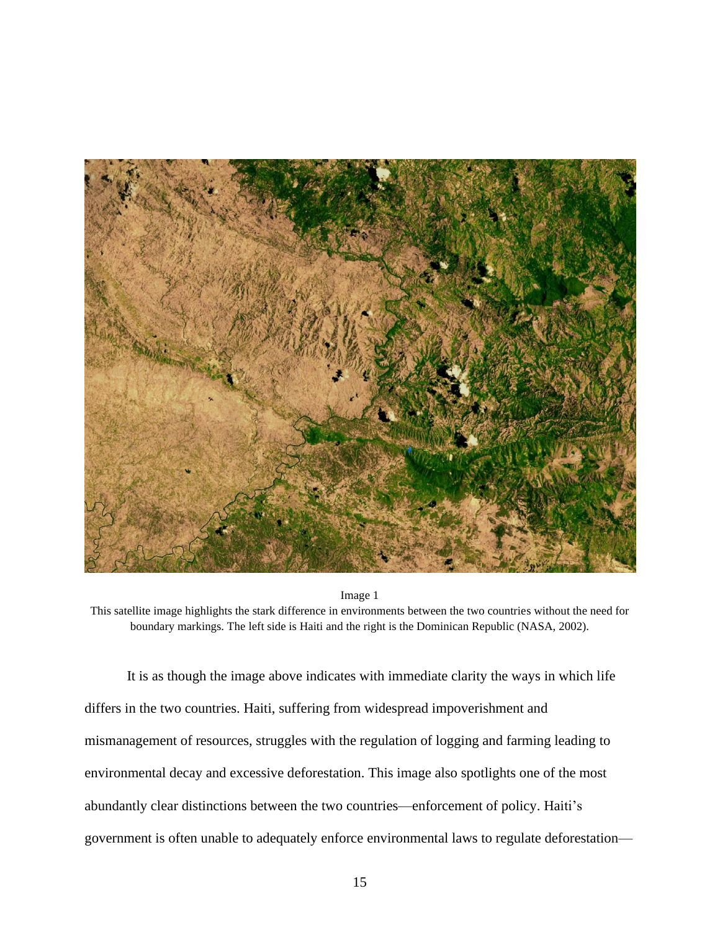

Image 1

This satellite image highlights the stark difference in environments between the two countries without the need for boundary markings. The left side is Haiti and the right is the Dominican Republic (NASA, 2002).

It is as though the image above indicates with immediate clarity the ways in which life differs in the two countries. Haiti, suffering from widespread impoverishment and mismanagement of resources, struggles with the regulation of logging and farming leading to environmental decay and excessive deforestation. This image also spotlights one of the most abundantly clear distinctions between the two countries—enforcement of policy. Haiti's government is often unable to adequately enforce environmental laws to regulate deforestation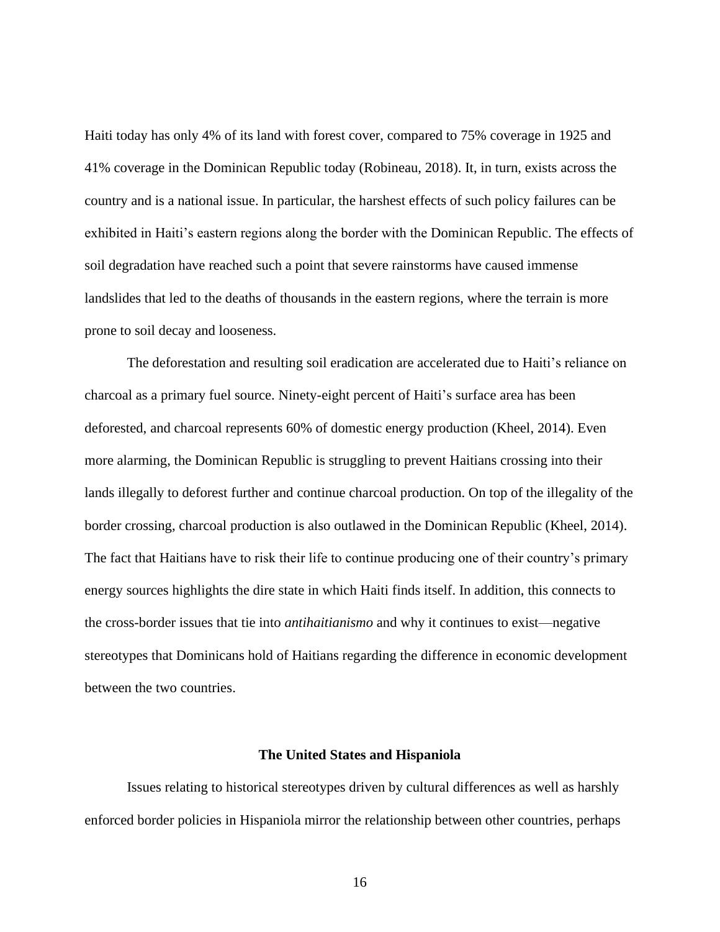Haiti today has only 4% of its land with forest cover, compared to 75% coverage in 1925 and 41% coverage in the Dominican Republic today (Robineau, 2018). It, in turn, exists across the country and is a national issue. In particular, the harshest effects of such policy failures can be exhibited in Haiti's eastern regions along the border with the Dominican Republic. The effects of soil degradation have reached such a point that severe rainstorms have caused immense landslides that led to the deaths of thousands in the eastern regions, where the terrain is more prone to soil decay and looseness.

The deforestation and resulting soil eradication are accelerated due to Haiti's reliance on charcoal as a primary fuel source. Ninety-eight percent of Haiti's surface area has been deforested, and charcoal represents 60% of domestic energy production (Kheel, 2014). Even more alarming, the Dominican Republic is struggling to prevent Haitians crossing into their lands illegally to deforest further and continue charcoal production. On top of the illegality of the border crossing, charcoal production is also outlawed in the Dominican Republic (Kheel, 2014). The fact that Haitians have to risk their life to continue producing one of their country's primary energy sources highlights the dire state in which Haiti finds itself. In addition, this connects to the cross-border issues that tie into *antihaitianismo* and why it continues to exist—negative stereotypes that Dominicans hold of Haitians regarding the difference in economic development between the two countries.

#### **The United States and Hispaniola**

<span id="page-21-0"></span>Issues relating to historical stereotypes driven by cultural differences as well as harshly enforced border policies in Hispaniola mirror the relationship between other countries, perhaps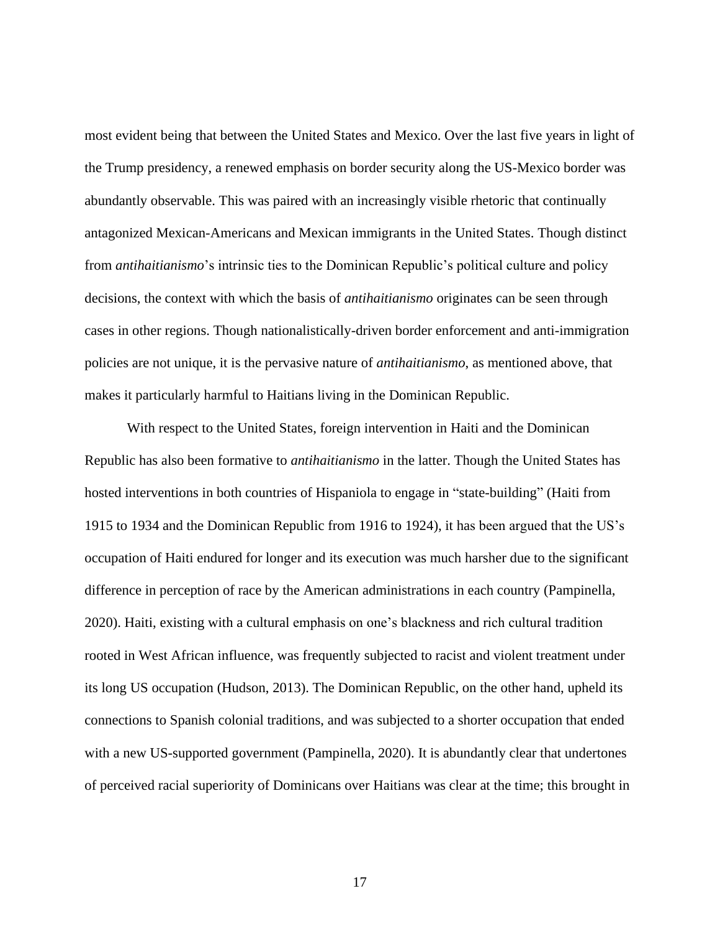most evident being that between the United States and Mexico. Over the last five years in light of the Trump presidency, a renewed emphasis on border security along the US-Mexico border was abundantly observable. This was paired with an increasingly visible rhetoric that continually antagonized Mexican-Americans and Mexican immigrants in the United States. Though distinct from *antihaitianismo*'s intrinsic ties to the Dominican Republic's political culture and policy decisions, the context with which the basis of *antihaitianismo* originates can be seen through cases in other regions. Though nationalistically-driven border enforcement and anti-immigration policies are not unique, it is the pervasive nature of *antihaitianismo*, as mentioned above, that makes it particularly harmful to Haitians living in the Dominican Republic.

With respect to the United States, foreign intervention in Haiti and the Dominican Republic has also been formative to *antihaitianismo* in the latter. Though the United States has hosted interventions in both countries of Hispaniola to engage in "state-building" (Haiti from 1915 to 1934 and the Dominican Republic from 1916 to 1924), it has been argued that the US's occupation of Haiti endured for longer and its execution was much harsher due to the significant difference in perception of race by the American administrations in each country (Pampinella, 2020). Haiti, existing with a cultural emphasis on one's blackness and rich cultural tradition rooted in West African influence, was frequently subjected to racist and violent treatment under its long US occupation (Hudson, 2013). The Dominican Republic, on the other hand, upheld its connections to Spanish colonial traditions, and was subjected to a shorter occupation that ended with a new US-supported government (Pampinella, 2020). It is abundantly clear that undertones of perceived racial superiority of Dominicans over Haitians was clear at the time; this brought in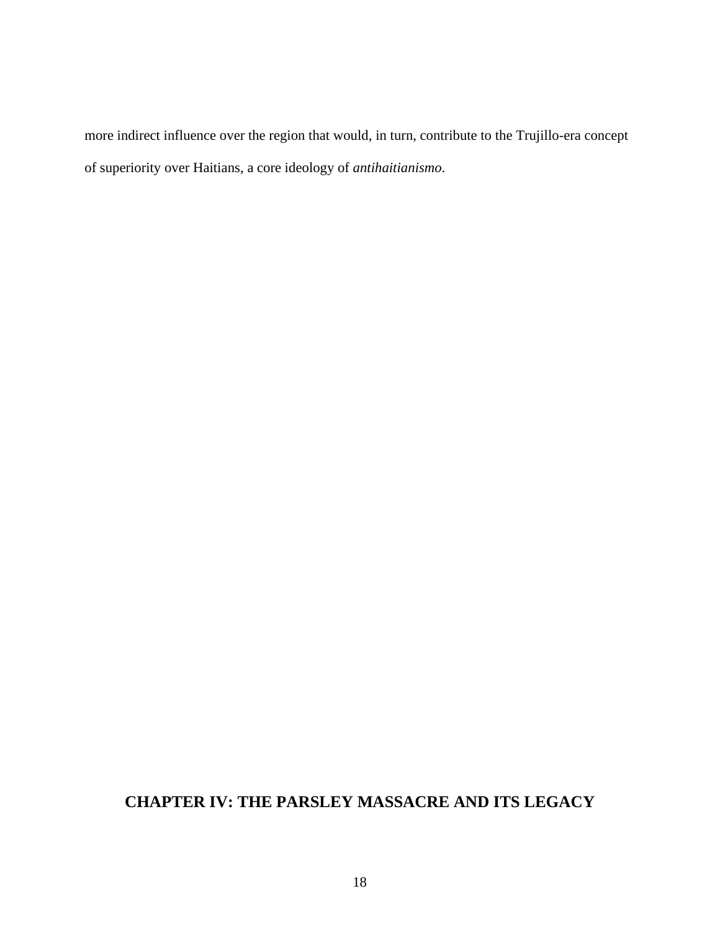more indirect influence over the region that would, in turn, contribute to the Trujillo-era concept of superiority over Haitians, a core ideology of *antihaitianismo*.

## <span id="page-23-0"></span>**CHAPTER IV: THE PARSLEY MASSACRE AND ITS LEGACY**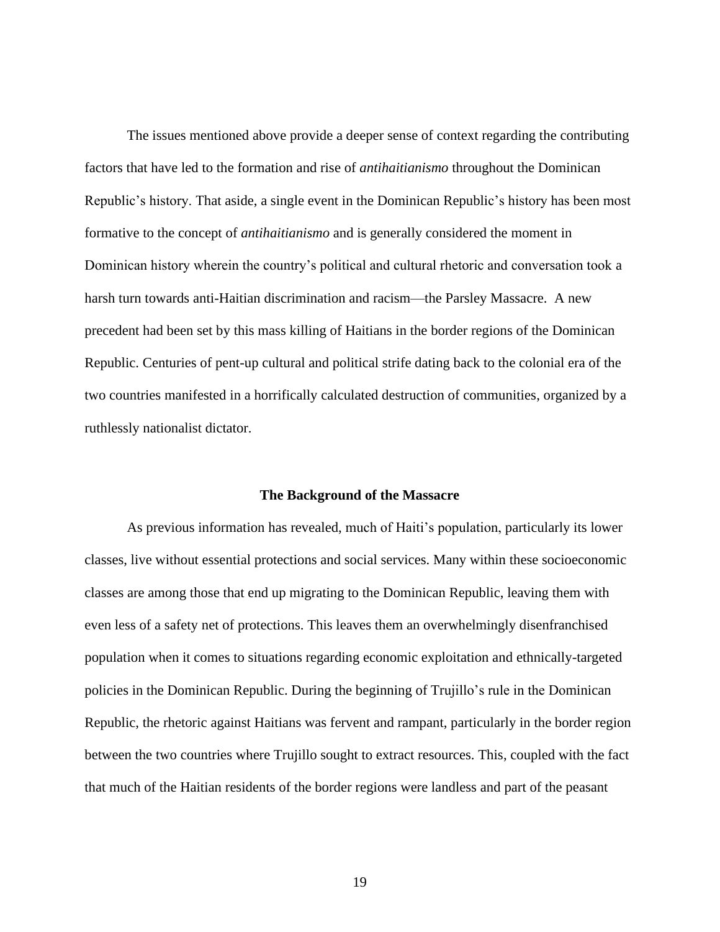The issues mentioned above provide a deeper sense of context regarding the contributing factors that have led to the formation and rise of *antihaitianismo* throughout the Dominican Republic's history. That aside, a single event in the Dominican Republic's history has been most formative to the concept of *antihaitianismo* and is generally considered the moment in Dominican history wherein the country's political and cultural rhetoric and conversation took a harsh turn towards anti-Haitian discrimination and racism—the Parsley Massacre. A new precedent had been set by this mass killing of Haitians in the border regions of the Dominican Republic. Centuries of pent-up cultural and political strife dating back to the colonial era of the two countries manifested in a horrifically calculated destruction of communities, organized by a ruthlessly nationalist dictator.

#### **The Background of the Massacre**

<span id="page-24-0"></span>As previous information has revealed, much of Haiti's population, particularly its lower classes, live without essential protections and social services. Many within these socioeconomic classes are among those that end up migrating to the Dominican Republic, leaving them with even less of a safety net of protections. This leaves them an overwhelmingly disenfranchised population when it comes to situations regarding economic exploitation and ethnically-targeted policies in the Dominican Republic. During the beginning of Trujillo's rule in the Dominican Republic, the rhetoric against Haitians was fervent and rampant, particularly in the border region between the two countries where Trujillo sought to extract resources. This, coupled with the fact that much of the Haitian residents of the border regions were landless and part of the peasant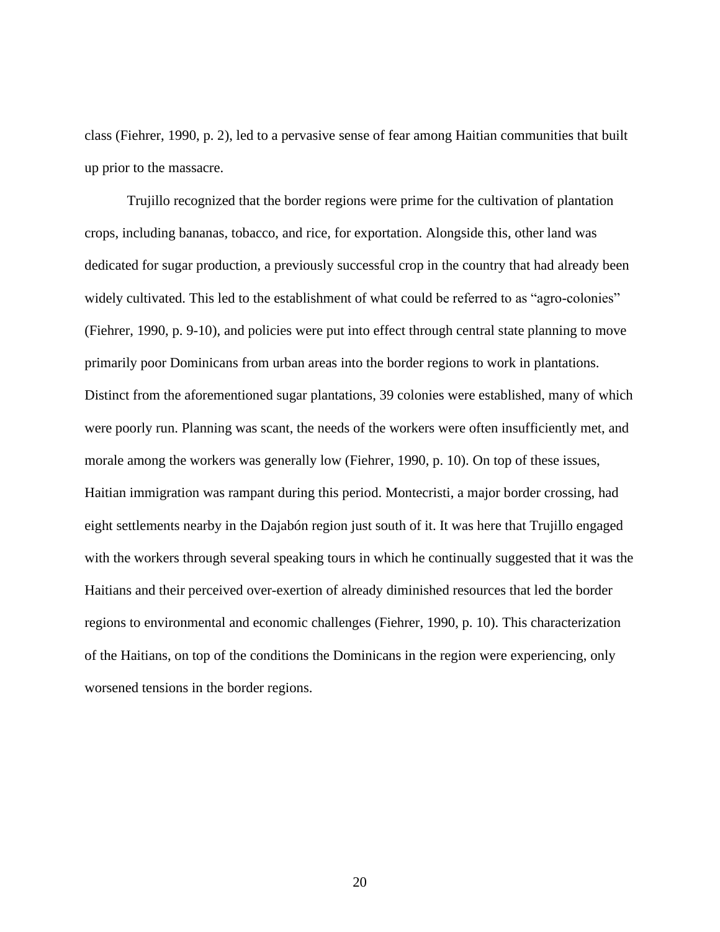class (Fiehrer, 1990, p. 2), led to a pervasive sense of fear among Haitian communities that built up prior to the massacre.

Trujillo recognized that the border regions were prime for the cultivation of plantation crops, including bananas, tobacco, and rice, for exportation. Alongside this, other land was dedicated for sugar production, a previously successful crop in the country that had already been widely cultivated. This led to the establishment of what could be referred to as "agro-colonies" (Fiehrer, 1990, p. 9-10), and policies were put into effect through central state planning to move primarily poor Dominicans from urban areas into the border regions to work in plantations. Distinct from the aforementioned sugar plantations, 39 colonies were established, many of which were poorly run. Planning was scant, the needs of the workers were often insufficiently met, and morale among the workers was generally low (Fiehrer, 1990, p. 10). On top of these issues, Haitian immigration was rampant during this period. Montecristi, a major border crossing, had eight settlements nearby in the Dajabón region just south of it. It was here that Trujillo engaged with the workers through several speaking tours in which he continually suggested that it was the Haitians and their perceived over-exertion of already diminished resources that led the border regions to environmental and economic challenges (Fiehrer, 1990, p. 10). This characterization of the Haitians, on top of the conditions the Dominicans in the region were experiencing, only worsened tensions in the border regions.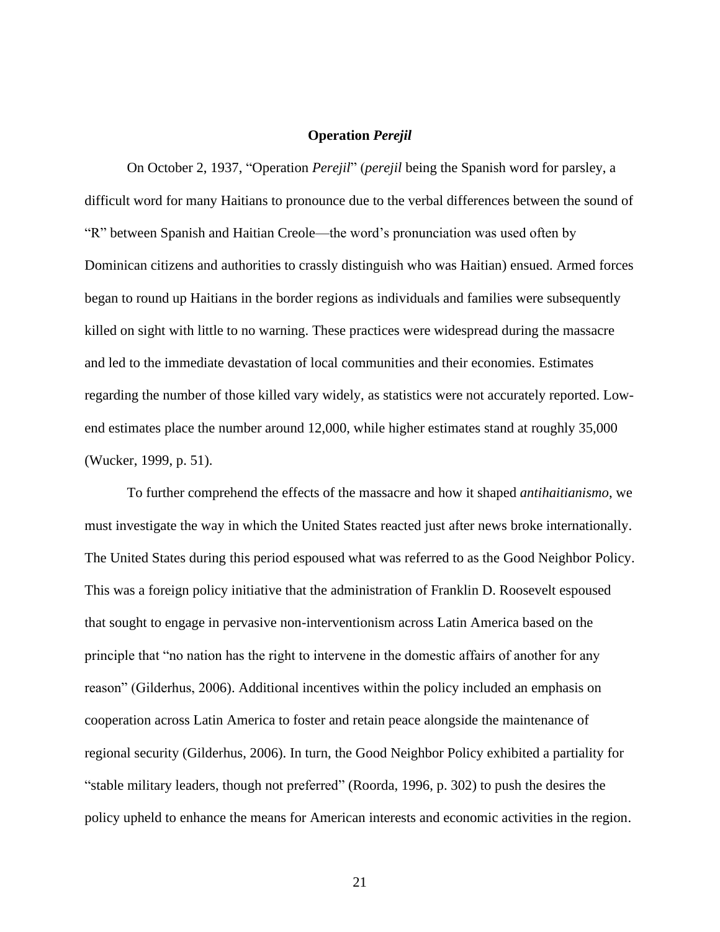### **Operation** *Perejil*

<span id="page-26-0"></span>On October 2, 1937, "Operation *Perejil*" (*perejil* being the Spanish word for parsley, a difficult word for many Haitians to pronounce due to the verbal differences between the sound of "R" between Spanish and Haitian Creole—the word's pronunciation was used often by Dominican citizens and authorities to crassly distinguish who was Haitian) ensued. Armed forces began to round up Haitians in the border regions as individuals and families were subsequently killed on sight with little to no warning. These practices were widespread during the massacre and led to the immediate devastation of local communities and their economies. Estimates regarding the number of those killed vary widely, as statistics were not accurately reported. Lowend estimates place the number around 12,000, while higher estimates stand at roughly 35,000 (Wucker, 1999, p. 51).

To further comprehend the effects of the massacre and how it shaped *antihaitianismo*, we must investigate the way in which the United States reacted just after news broke internationally. The United States during this period espoused what was referred to as the Good Neighbor Policy. This was a foreign policy initiative that the administration of Franklin D. Roosevelt espoused that sought to engage in pervasive non-interventionism across Latin America based on the principle that "no nation has the right to intervene in the domestic affairs of another for any reason" (Gilderhus, 2006). Additional incentives within the policy included an emphasis on cooperation across Latin America to foster and retain peace alongside the maintenance of regional security (Gilderhus, 2006). In turn, the Good Neighbor Policy exhibited a partiality for "stable military leaders, though not preferred" (Roorda, 1996, p. 302) to push the desires the policy upheld to enhance the means for American interests and economic activities in the region.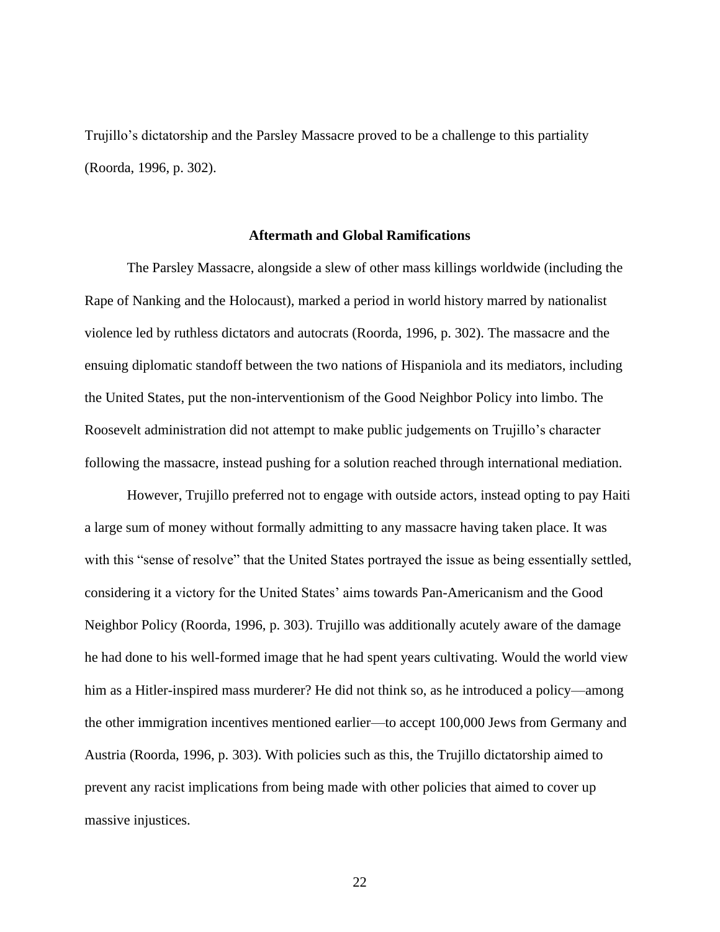Trujillo's dictatorship and the Parsley Massacre proved to be a challenge to this partiality (Roorda, 1996, p. 302).

### **Aftermath and Global Ramifications**

<span id="page-27-0"></span>The Parsley Massacre, alongside a slew of other mass killings worldwide (including the Rape of Nanking and the Holocaust), marked a period in world history marred by nationalist violence led by ruthless dictators and autocrats (Roorda, 1996, p. 302). The massacre and the ensuing diplomatic standoff between the two nations of Hispaniola and its mediators, including the United States, put the non-interventionism of the Good Neighbor Policy into limbo. The Roosevelt administration did not attempt to make public judgements on Trujillo's character following the massacre, instead pushing for a solution reached through international mediation.

However, Trujillo preferred not to engage with outside actors, instead opting to pay Haiti a large sum of money without formally admitting to any massacre having taken place. It was with this "sense of resolve" that the United States portrayed the issue as being essentially settled, considering it a victory for the United States' aims towards Pan-Americanism and the Good Neighbor Policy (Roorda, 1996, p. 303). Trujillo was additionally acutely aware of the damage he had done to his well-formed image that he had spent years cultivating. Would the world view him as a Hitler-inspired mass murderer? He did not think so, as he introduced a policy—among the other immigration incentives mentioned earlier—to accept 100,000 Jews from Germany and Austria (Roorda, 1996, p. 303). With policies such as this, the Trujillo dictatorship aimed to prevent any racist implications from being made with other policies that aimed to cover up massive injustices.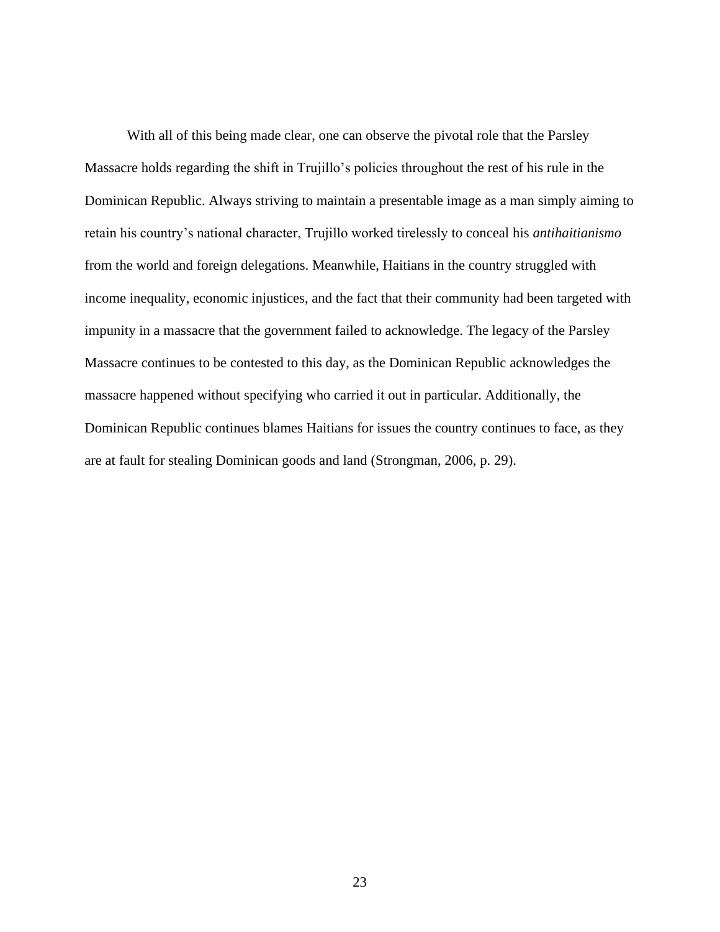With all of this being made clear, one can observe the pivotal role that the Parsley Massacre holds regarding the shift in Trujillo's policies throughout the rest of his rule in the Dominican Republic. Always striving to maintain a presentable image as a man simply aiming to retain his country's national character, Trujillo worked tirelessly to conceal his *antihaitianismo* from the world and foreign delegations. Meanwhile, Haitians in the country struggled with income inequality, economic injustices, and the fact that their community had been targeted with impunity in a massacre that the government failed to acknowledge. The legacy of the Parsley Massacre continues to be contested to this day, as the Dominican Republic acknowledges the massacre happened without specifying who carried it out in particular. Additionally, the Dominican Republic continues blames Haitians for issues the country continues to face, as they are at fault for stealing Dominican goods and land (Strongman, 2006, p. 29).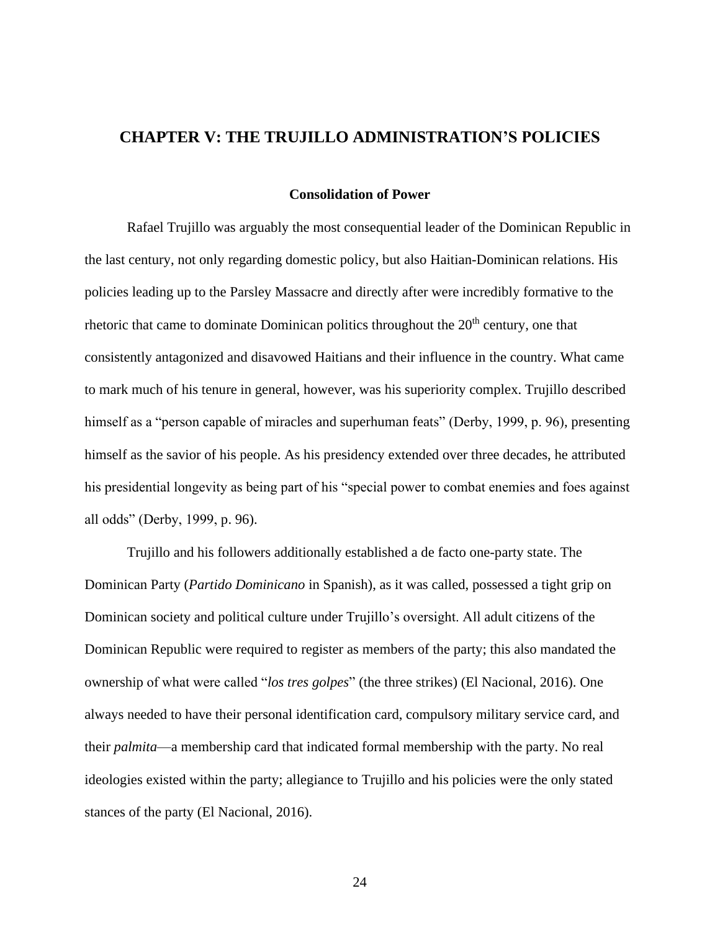## <span id="page-29-0"></span>**CHAPTER V: THE TRUJILLO ADMINISTRATION'S POLICIES**

### **Consolidation of Power**

<span id="page-29-1"></span>Rafael Trujillo was arguably the most consequential leader of the Dominican Republic in the last century, not only regarding domestic policy, but also Haitian-Dominican relations. His policies leading up to the Parsley Massacre and directly after were incredibly formative to the rhetoric that came to dominate Dominican politics throughout the  $20<sup>th</sup>$  century, one that consistently antagonized and disavowed Haitians and their influence in the country. What came to mark much of his tenure in general, however, was his superiority complex. Trujillo described himself as a "person capable of miracles and superhuman feats" (Derby, 1999, p. 96), presenting himself as the savior of his people. As his presidency extended over three decades, he attributed his presidential longevity as being part of his "special power to combat enemies and foes against all odds" (Derby, 1999, p. 96).

Trujillo and his followers additionally established a de facto one-party state. The Dominican Party (*Partido Dominicano* in Spanish), as it was called, possessed a tight grip on Dominican society and political culture under Trujillo's oversight. All adult citizens of the Dominican Republic were required to register as members of the party; this also mandated the ownership of what were called "*los tres golpes*" (the three strikes) (El Nacional, 2016). One always needed to have their personal identification card, compulsory military service card, and their *palmita*—a membership card that indicated formal membership with the party. No real ideologies existed within the party; allegiance to Trujillo and his policies were the only stated stances of the party (El Nacional, 2016).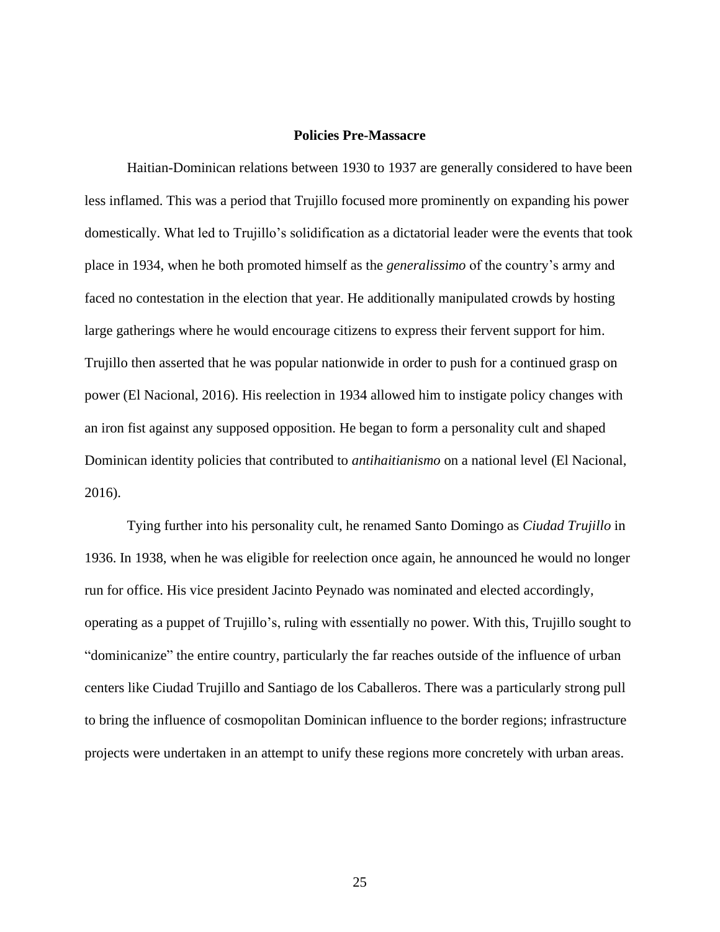### **Policies Pre-Massacre**

<span id="page-30-0"></span>Haitian-Dominican relations between 1930 to 1937 are generally considered to have been less inflamed. This was a period that Trujillo focused more prominently on expanding his power domestically. What led to Trujillo's solidification as a dictatorial leader were the events that took place in 1934, when he both promoted himself as the *generalissimo* of the country's army and faced no contestation in the election that year. He additionally manipulated crowds by hosting large gatherings where he would encourage citizens to express their fervent support for him. Trujillo then asserted that he was popular nationwide in order to push for a continued grasp on power (El Nacional, 2016). His reelection in 1934 allowed him to instigate policy changes with an iron fist against any supposed opposition. He began to form a personality cult and shaped Dominican identity policies that contributed to *antihaitianismo* on a national level (El Nacional, 2016).

Tying further into his personality cult, he renamed Santo Domingo as *Ciudad Trujillo* in 1936. In 1938, when he was eligible for reelection once again, he announced he would no longer run for office. His vice president Jacinto Peynado was nominated and elected accordingly, operating as a puppet of Trujillo's, ruling with essentially no power. With this, Trujillo sought to "dominicanize" the entire country, particularly the far reaches outside of the influence of urban centers like Ciudad Trujillo and Santiago de los Caballeros. There was a particularly strong pull to bring the influence of cosmopolitan Dominican influence to the border regions; infrastructure projects were undertaken in an attempt to unify these regions more concretely with urban areas.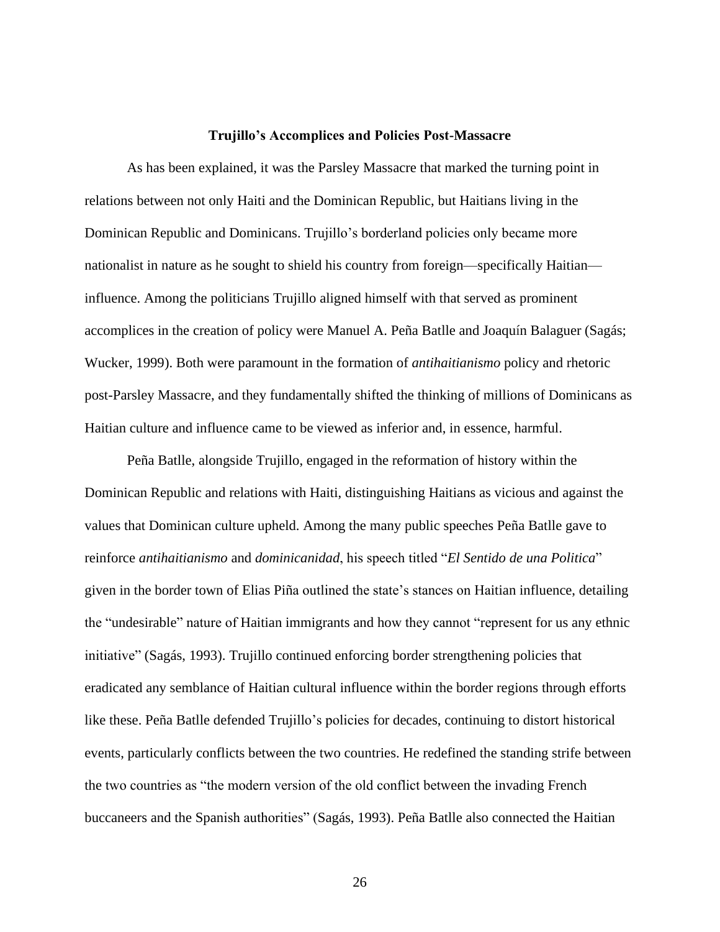#### **Trujillo's Accomplices and Policies Post-Massacre**

<span id="page-31-0"></span>As has been explained, it was the Parsley Massacre that marked the turning point in relations between not only Haiti and the Dominican Republic, but Haitians living in the Dominican Republic and Dominicans. Trujillo's borderland policies only became more nationalist in nature as he sought to shield his country from foreign—specifically Haitian influence. Among the politicians Trujillo aligned himself with that served as prominent accomplices in the creation of policy were Manuel A. Peña Batlle and Joaquín Balaguer (Sagás; Wucker, 1999). Both were paramount in the formation of *antihaitianismo* policy and rhetoric post-Parsley Massacre, and they fundamentally shifted the thinking of millions of Dominicans as Haitian culture and influence came to be viewed as inferior and, in essence, harmful.

Peña Batlle, alongside Trujillo, engaged in the reformation of history within the Dominican Republic and relations with Haiti, distinguishing Haitians as vicious and against the values that Dominican culture upheld. Among the many public speeches Peña Batlle gave to reinforce *antihaitianismo* and *dominicanidad*, his speech titled "*El Sentido de una Politica*" given in the border town of Elias Piña outlined the state's stances on Haitian influence, detailing the "undesirable" nature of Haitian immigrants and how they cannot "represent for us any ethnic initiative" (Sagás, 1993). Trujillo continued enforcing border strengthening policies that eradicated any semblance of Haitian cultural influence within the border regions through efforts like these. Peña Batlle defended Trujillo's policies for decades, continuing to distort historical events, particularly conflicts between the two countries. He redefined the standing strife between the two countries as "the modern version of the old conflict between the invading French buccaneers and the Spanish authorities" (Sagás, 1993). Peña Batlle also connected the Haitian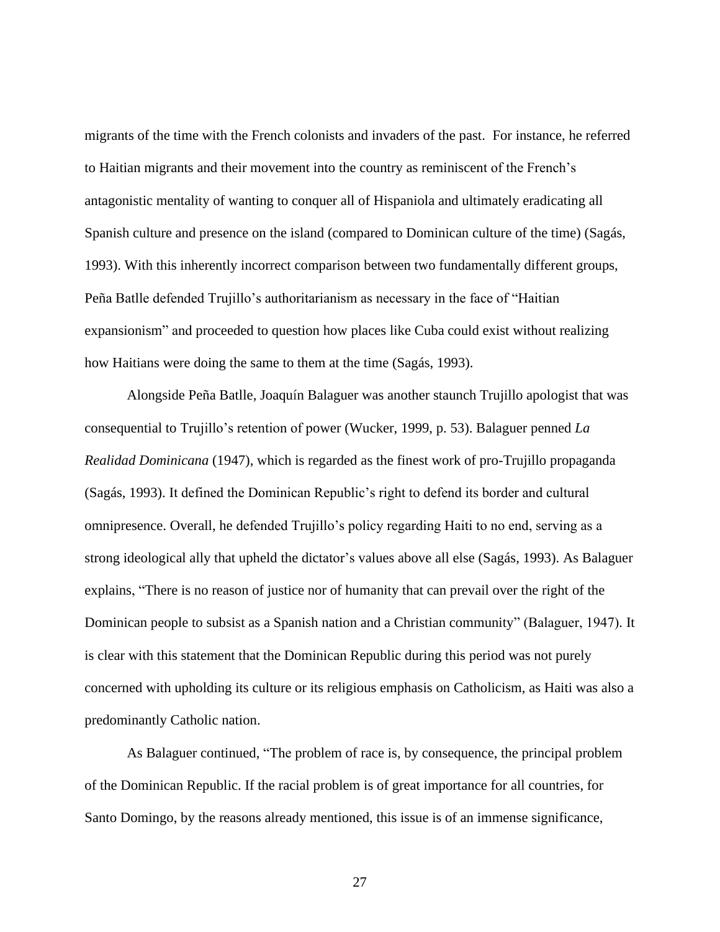migrants of the time with the French colonists and invaders of the past. For instance, he referred to Haitian migrants and their movement into the country as reminiscent of the French's antagonistic mentality of wanting to conquer all of Hispaniola and ultimately eradicating all Spanish culture and presence on the island (compared to Dominican culture of the time) (Sagás, 1993). With this inherently incorrect comparison between two fundamentally different groups, Peña Batlle defended Trujillo's authoritarianism as necessary in the face of "Haitian expansionism" and proceeded to question how places like Cuba could exist without realizing how Haitians were doing the same to them at the time (Sagás, 1993).

Alongside Peña Batlle, Joaquín Balaguer was another staunch Trujillo apologist that was consequential to Trujillo's retention of power (Wucker, 1999, p. 53). Balaguer penned *La Realidad Dominicana* (1947), which is regarded as the finest work of pro-Trujillo propaganda (Sagás, 1993). It defined the Dominican Republic's right to defend its border and cultural omnipresence. Overall, he defended Trujillo's policy regarding Haiti to no end, serving as a strong ideological ally that upheld the dictator's values above all else (Sagás, 1993). As Balaguer explains, "There is no reason of justice nor of humanity that can prevail over the right of the Dominican people to subsist as a Spanish nation and a Christian community" (Balaguer, 1947). It is clear with this statement that the Dominican Republic during this period was not purely concerned with upholding its culture or its religious emphasis on Catholicism, as Haiti was also a predominantly Catholic nation.

As Balaguer continued, "The problem of race is, by consequence, the principal problem of the Dominican Republic. If the racial problem is of great importance for all countries, for Santo Domingo, by the reasons already mentioned, this issue is of an immense significance,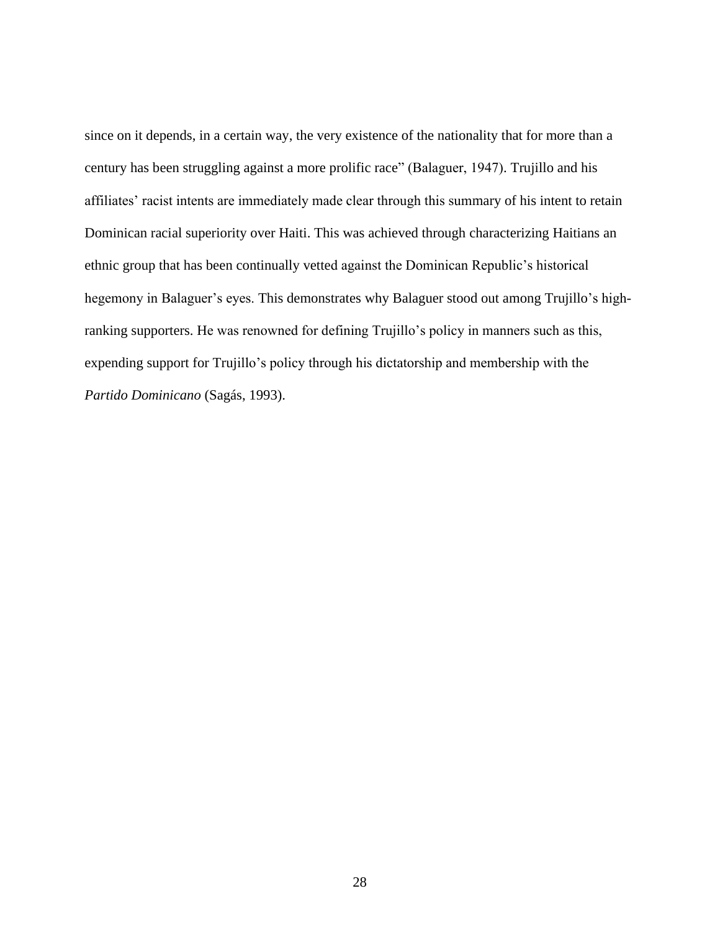since on it depends, in a certain way, the very existence of the nationality that for more than a century has been struggling against a more prolific race" (Balaguer, 1947). Trujillo and his affiliates' racist intents are immediately made clear through this summary of his intent to retain Dominican racial superiority over Haiti. This was achieved through characterizing Haitians an ethnic group that has been continually vetted against the Dominican Republic's historical hegemony in Balaguer's eyes. This demonstrates why Balaguer stood out among Trujillo's highranking supporters. He was renowned for defining Trujillo's policy in manners such as this, expending support for Trujillo's policy through his dictatorship and membership with the *Partido Dominicano* (Sagás, 1993).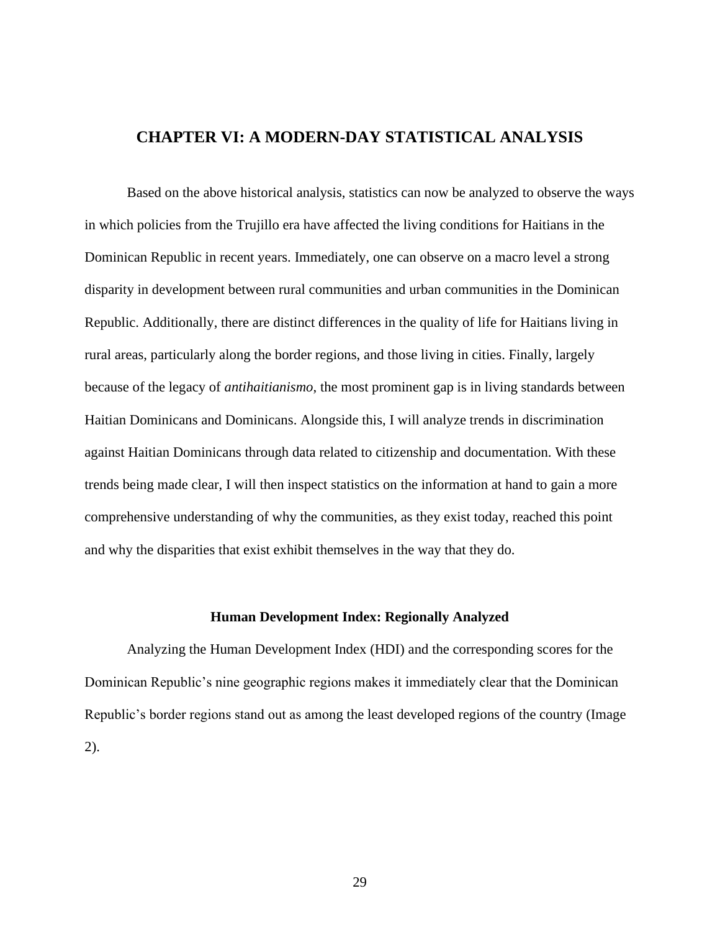## <span id="page-34-0"></span>**CHAPTER VI: A MODERN-DAY STATISTICAL ANALYSIS**

Based on the above historical analysis, statistics can now be analyzed to observe the ways in which policies from the Trujillo era have affected the living conditions for Haitians in the Dominican Republic in recent years. Immediately, one can observe on a macro level a strong disparity in development between rural communities and urban communities in the Dominican Republic. Additionally, there are distinct differences in the quality of life for Haitians living in rural areas, particularly along the border regions, and those living in cities. Finally, largely because of the legacy of *antihaitianismo*, the most prominent gap is in living standards between Haitian Dominicans and Dominicans. Alongside this, I will analyze trends in discrimination against Haitian Dominicans through data related to citizenship and documentation. With these trends being made clear, I will then inspect statistics on the information at hand to gain a more comprehensive understanding of why the communities, as they exist today, reached this point and why the disparities that exist exhibit themselves in the way that they do.

### **Human Development Index: Regionally Analyzed**

<span id="page-34-1"></span>Analyzing the Human Development Index (HDI) and the corresponding scores for the Dominican Republic's nine geographic regions makes it immediately clear that the Dominican Republic's border regions stand out as among the least developed regions of the country (Image 2).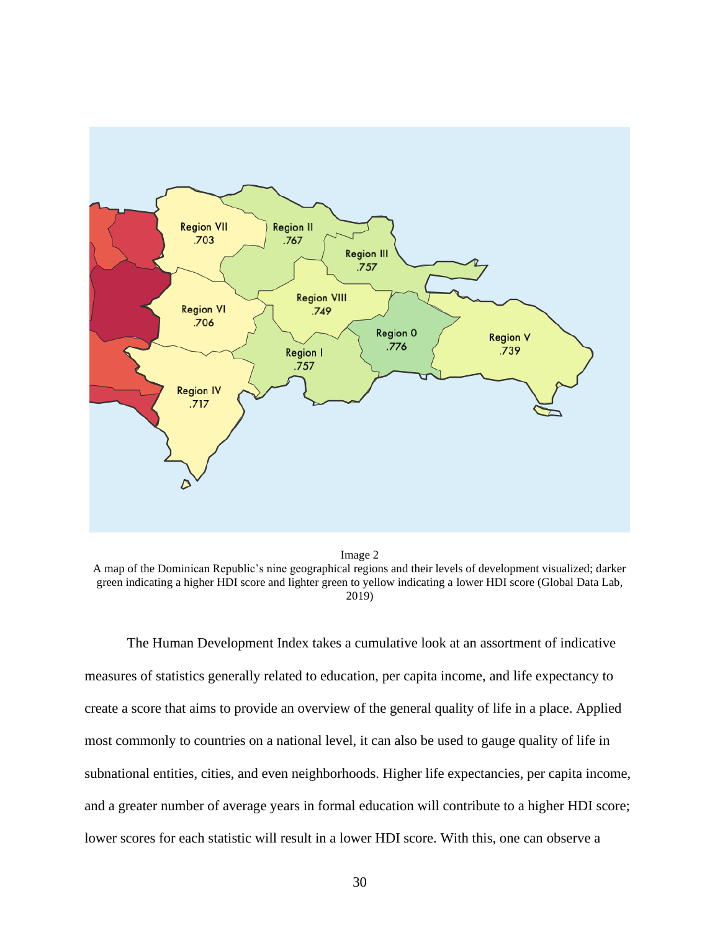

Image 2 A map of the Dominican Republic's nine geographical regions and their levels of development visualized; darker green indicating a higher HDI score and lighter green to yellow indicating a lower HDI score (Global Data Lab, 2019)

The Human Development Index takes a cumulative look at an assortment of indicative measures of statistics generally related to education, per capita income, and life expectancy to create a score that aims to provide an overview of the general quality of life in a place. Applied most commonly to countries on a national level, it can also be used to gauge quality of life in subnational entities, cities, and even neighborhoods. Higher life expectancies, per capita income, and a greater number of average years in formal education will contribute to a higher HDI score; lower scores for each statistic will result in a lower HDI score. With this, one can observe a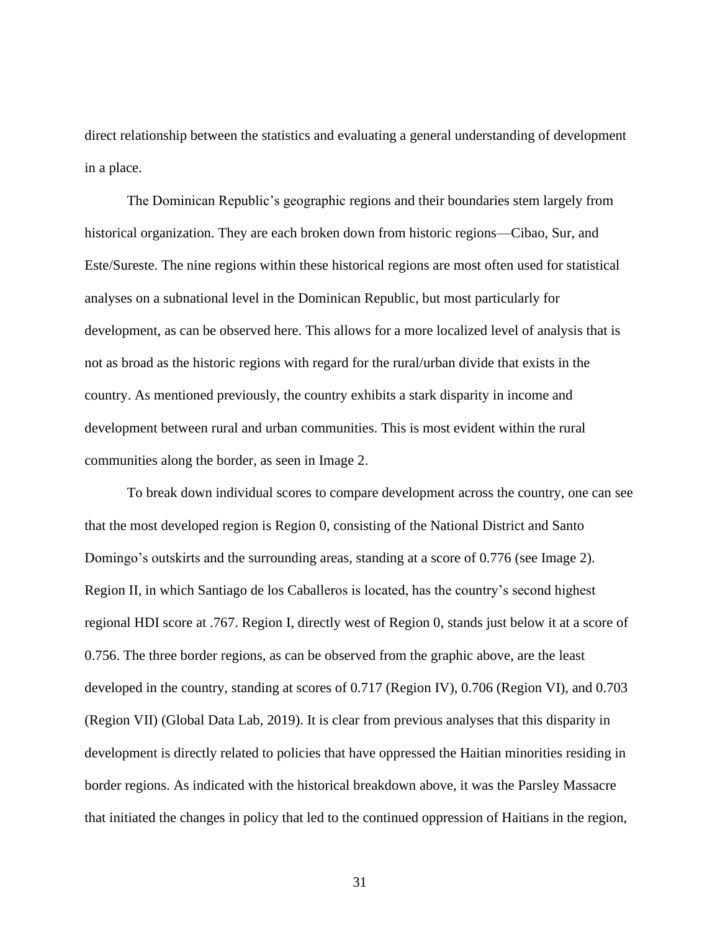direct relationship between the statistics and evaluating a general understanding of development in a place.

The Dominican Republic's geographic regions and their boundaries stem largely from historical organization. They are each broken down from historic regions—Cibao, Sur, and Este/Sureste. The nine regions within these historical regions are most often used for statistical analyses on a subnational level in the Dominican Republic, but most particularly for development, as can be observed here. This allows for a more localized level of analysis that is not as broad as the historic regions with regard for the rural/urban divide that exists in the country. As mentioned previously, the country exhibits a stark disparity in income and development between rural and urban communities. This is most evident within the rural communities along the border, as seen in Image 2.

To break down individual scores to compare development across the country, one can see that the most developed region is Region 0, consisting of the National District and Santo Domingo's outskirts and the surrounding areas, standing at a score of 0.776 (see Image 2). Region II, in which Santiago de los Caballeros is located, has the country's second highest regional HDI score at .767. Region I, directly west of Region 0, stands just below it at a score of 0.756. The three border regions, as can be observed from the graphic above, are the least developed in the country, standing at scores of 0.717 (Region IV), 0.706 (Region VI), and 0.703 (Region VII) (Global Data Lab, 2019). It is clear from previous analyses that this disparity in development is directly related to policies that have oppressed the Haitian minorities residing in border regions. As indicated with the historical breakdown above, it was the Parsley Massacre that initiated the changes in policy that led to the continued oppression of Haitians in the region,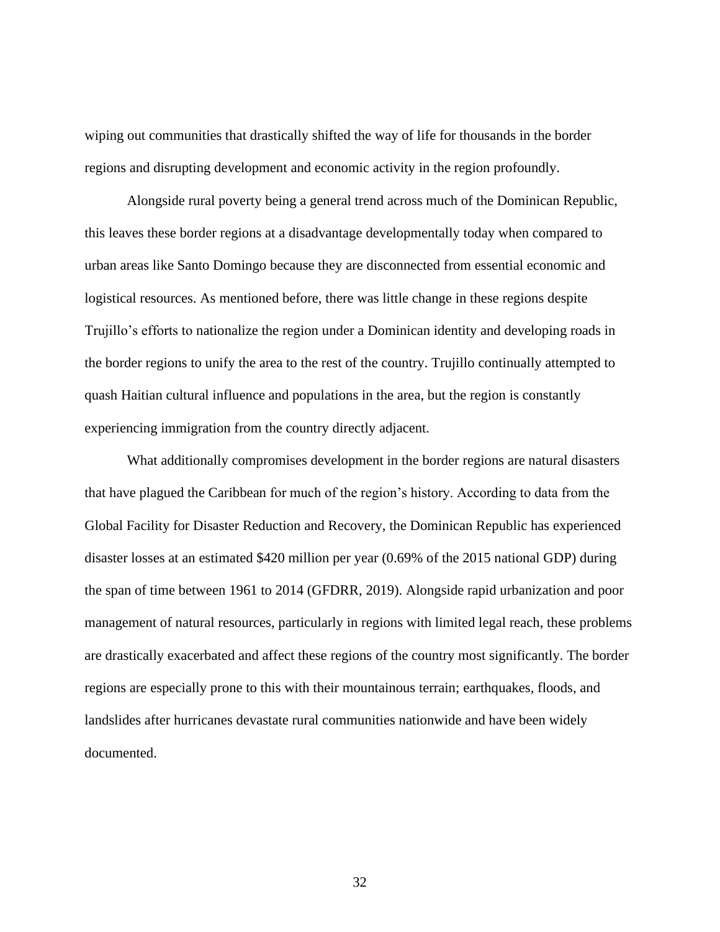wiping out communities that drastically shifted the way of life for thousands in the border regions and disrupting development and economic activity in the region profoundly.

Alongside rural poverty being a general trend across much of the Dominican Republic, this leaves these border regions at a disadvantage developmentally today when compared to urban areas like Santo Domingo because they are disconnected from essential economic and logistical resources. As mentioned before, there was little change in these regions despite Trujillo's efforts to nationalize the region under a Dominican identity and developing roads in the border regions to unify the area to the rest of the country. Trujillo continually attempted to quash Haitian cultural influence and populations in the area, but the region is constantly experiencing immigration from the country directly adjacent.

What additionally compromises development in the border regions are natural disasters that have plagued the Caribbean for much of the region's history. According to data from the Global Facility for Disaster Reduction and Recovery, the Dominican Republic has experienced disaster losses at an estimated \$420 million per year (0.69% of the 2015 national GDP) during the span of time between 1961 to 2014 (GFDRR, 2019). Alongside rapid urbanization and poor management of natural resources, particularly in regions with limited legal reach, these problems are drastically exacerbated and affect these regions of the country most significantly. The border regions are especially prone to this with their mountainous terrain; earthquakes, floods, and landslides after hurricanes devastate rural communities nationwide and have been widely documented.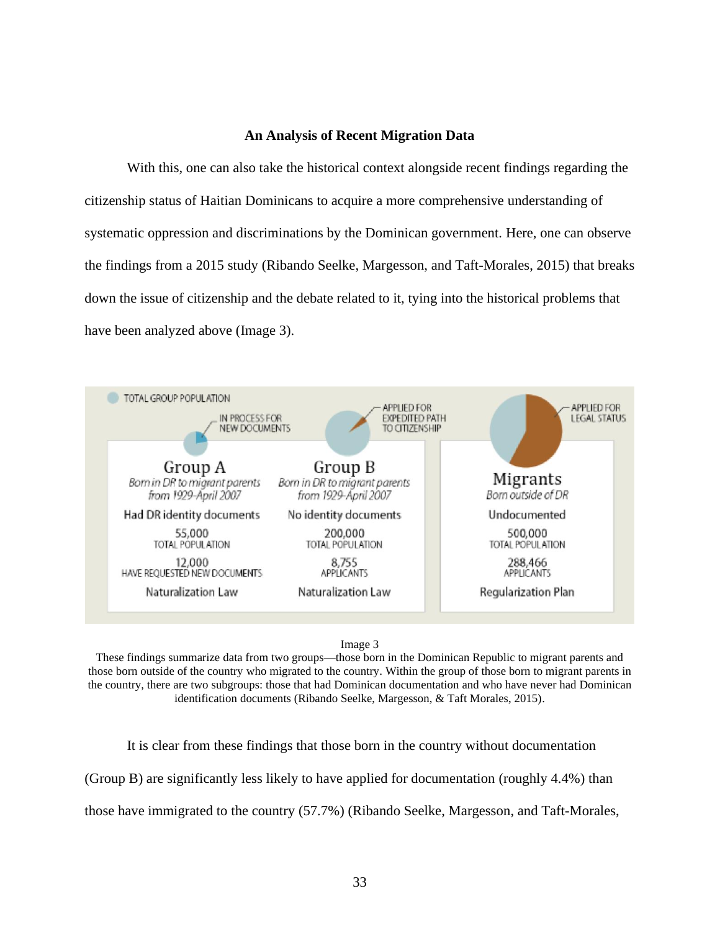### **An Analysis of Recent Migration Data**

<span id="page-38-0"></span>With this, one can also take the historical context alongside recent findings regarding the citizenship status of Haitian Dominicans to acquire a more comprehensive understanding of systematic oppression and discriminations by the Dominican government. Here, one can observe the findings from a 2015 study (Ribando Seelke, Margesson, and Taft-Morales, 2015) that breaks down the issue of citizenship and the debate related to it, tying into the historical problems that have been analyzed above (Image 3).



#### Image 3

These findings summarize data from two groups—those born in the Dominican Republic to migrant parents and those born outside of the country who migrated to the country. Within the group of those born to migrant parents in the country, there are two subgroups: those that had Dominican documentation and who have never had Dominican identification documents (Ribando Seelke, Margesson, & Taft Morales, 2015).

It is clear from these findings that those born in the country without documentation

(Group B) are significantly less likely to have applied for documentation (roughly 4.4%) than

those have immigrated to the country (57.7%) (Ribando Seelke, Margesson, and Taft-Morales,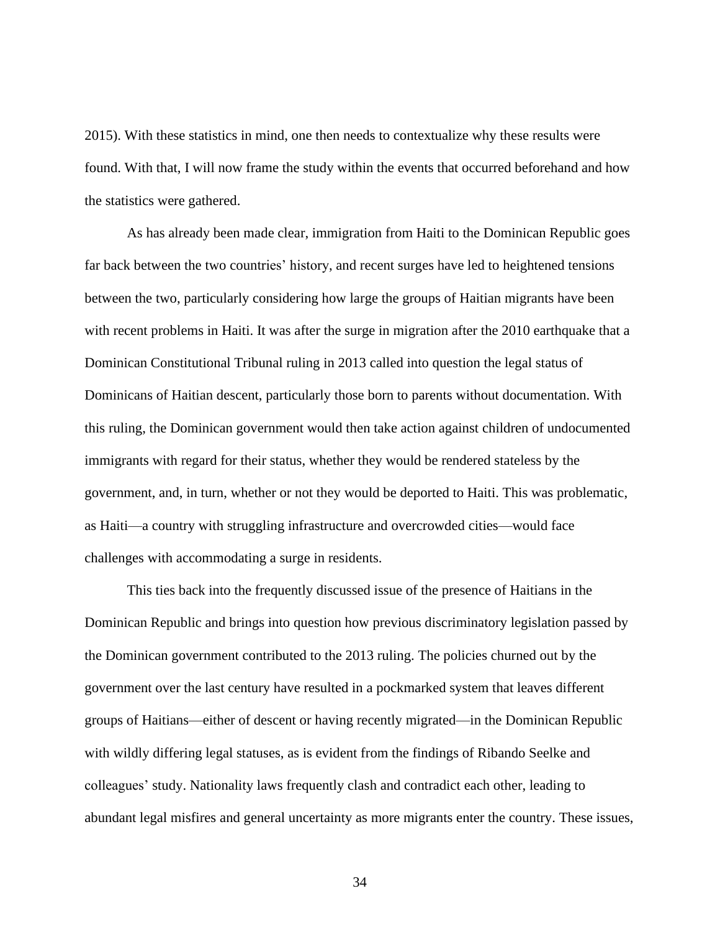2015). With these statistics in mind, one then needs to contextualize why these results were found. With that, I will now frame the study within the events that occurred beforehand and how the statistics were gathered.

As has already been made clear, immigration from Haiti to the Dominican Republic goes far back between the two countries' history, and recent surges have led to heightened tensions between the two, particularly considering how large the groups of Haitian migrants have been with recent problems in Haiti. It was after the surge in migration after the 2010 earthquake that a Dominican Constitutional Tribunal ruling in 2013 called into question the legal status of Dominicans of Haitian descent, particularly those born to parents without documentation. With this ruling, the Dominican government would then take action against children of undocumented immigrants with regard for their status, whether they would be rendered stateless by the government, and, in turn, whether or not they would be deported to Haiti. This was problematic, as Haiti—a country with struggling infrastructure and overcrowded cities—would face challenges with accommodating a surge in residents.

This ties back into the frequently discussed issue of the presence of Haitians in the Dominican Republic and brings into question how previous discriminatory legislation passed by the Dominican government contributed to the 2013 ruling. The policies churned out by the government over the last century have resulted in a pockmarked system that leaves different groups of Haitians—either of descent or having recently migrated—in the Dominican Republic with wildly differing legal statuses, as is evident from the findings of Ribando Seelke and colleagues' study. Nationality laws frequently clash and contradict each other, leading to abundant legal misfires and general uncertainty as more migrants enter the country. These issues,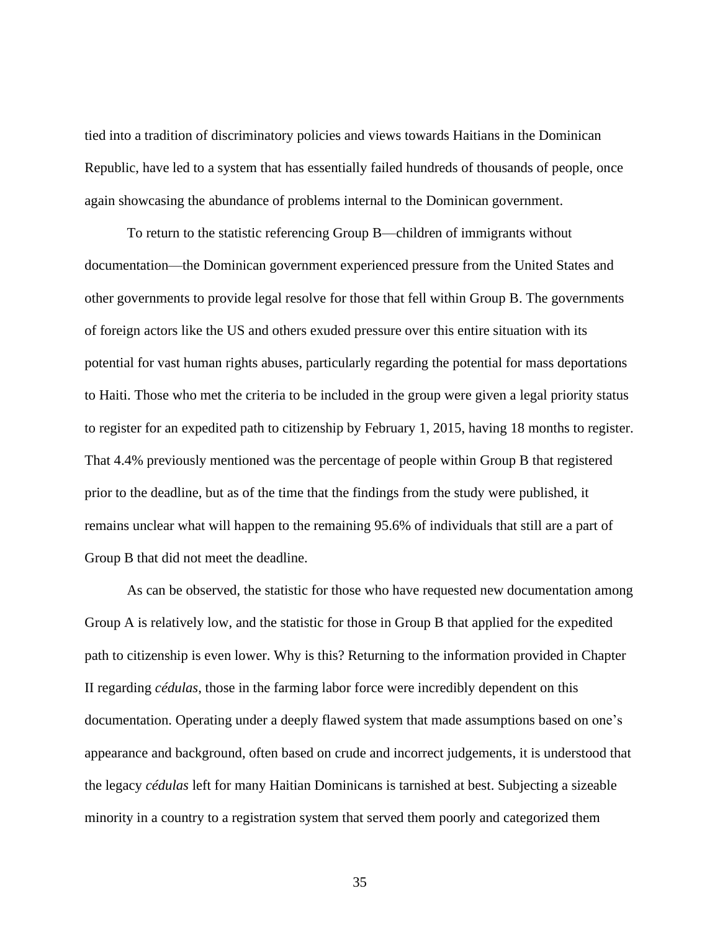tied into a tradition of discriminatory policies and views towards Haitians in the Dominican Republic, have led to a system that has essentially failed hundreds of thousands of people, once again showcasing the abundance of problems internal to the Dominican government.

To return to the statistic referencing Group B—children of immigrants without documentation—the Dominican government experienced pressure from the United States and other governments to provide legal resolve for those that fell within Group B. The governments of foreign actors like the US and others exuded pressure over this entire situation with its potential for vast human rights abuses, particularly regarding the potential for mass deportations to Haiti. Those who met the criteria to be included in the group were given a legal priority status to register for an expedited path to citizenship by February 1, 2015, having 18 months to register. That 4.4% previously mentioned was the percentage of people within Group B that registered prior to the deadline, but as of the time that the findings from the study were published, it remains unclear what will happen to the remaining 95.6% of individuals that still are a part of Group B that did not meet the deadline.

As can be observed, the statistic for those who have requested new documentation among Group A is relatively low, and the statistic for those in Group B that applied for the expedited path to citizenship is even lower. Why is this? Returning to the information provided in Chapter II regarding *cédulas*, those in the farming labor force were incredibly dependent on this documentation. Operating under a deeply flawed system that made assumptions based on one's appearance and background, often based on crude and incorrect judgements, it is understood that the legacy *cédulas* left for many Haitian Dominicans is tarnished at best. Subjecting a sizeable minority in a country to a registration system that served them poorly and categorized them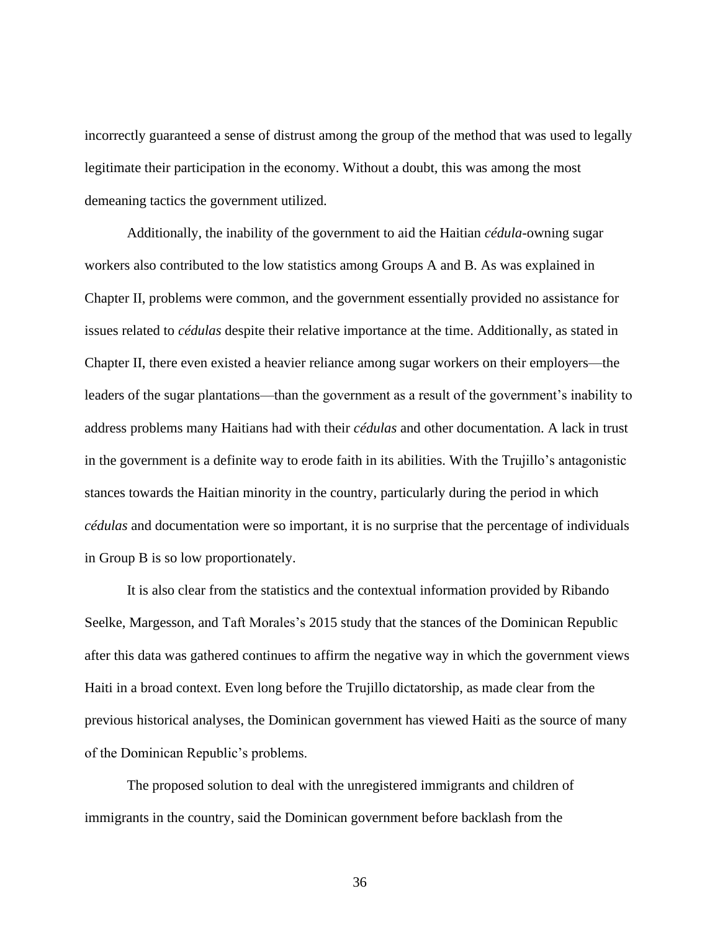incorrectly guaranteed a sense of distrust among the group of the method that was used to legally legitimate their participation in the economy. Without a doubt, this was among the most demeaning tactics the government utilized.

Additionally, the inability of the government to aid the Haitian *cédula*-owning sugar workers also contributed to the low statistics among Groups A and B. As was explained in Chapter II, problems were common, and the government essentially provided no assistance for issues related to *cédulas* despite their relative importance at the time. Additionally, as stated in Chapter II, there even existed a heavier reliance among sugar workers on their employers—the leaders of the sugar plantations—than the government as a result of the government's inability to address problems many Haitians had with their *cédulas* and other documentation. A lack in trust in the government is a definite way to erode faith in its abilities. With the Trujillo's antagonistic stances towards the Haitian minority in the country, particularly during the period in which *cédulas* and documentation were so important, it is no surprise that the percentage of individuals in Group B is so low proportionately.

It is also clear from the statistics and the contextual information provided by Ribando Seelke, Margesson, and Taft Morales's 2015 study that the stances of the Dominican Republic after this data was gathered continues to affirm the negative way in which the government views Haiti in a broad context. Even long before the Trujillo dictatorship, as made clear from the previous historical analyses, the Dominican government has viewed Haiti as the source of many of the Dominican Republic's problems.

The proposed solution to deal with the unregistered immigrants and children of immigrants in the country, said the Dominican government before backlash from the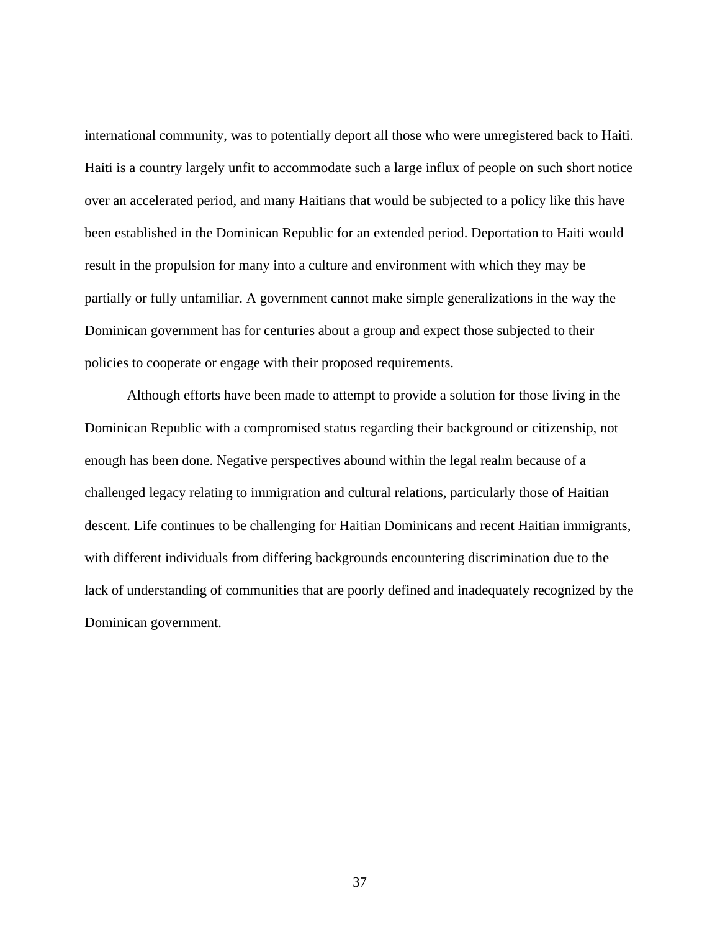international community, was to potentially deport all those who were unregistered back to Haiti. Haiti is a country largely unfit to accommodate such a large influx of people on such short notice over an accelerated period, and many Haitians that would be subjected to a policy like this have been established in the Dominican Republic for an extended period. Deportation to Haiti would result in the propulsion for many into a culture and environment with which they may be partially or fully unfamiliar. A government cannot make simple generalizations in the way the Dominican government has for centuries about a group and expect those subjected to their policies to cooperate or engage with their proposed requirements.

Although efforts have been made to attempt to provide a solution for those living in the Dominican Republic with a compromised status regarding their background or citizenship, not enough has been done. Negative perspectives abound within the legal realm because of a challenged legacy relating to immigration and cultural relations, particularly those of Haitian descent. Life continues to be challenging for Haitian Dominicans and recent Haitian immigrants, with different individuals from differing backgrounds encountering discrimination due to the lack of understanding of communities that are poorly defined and inadequately recognized by the Dominican government.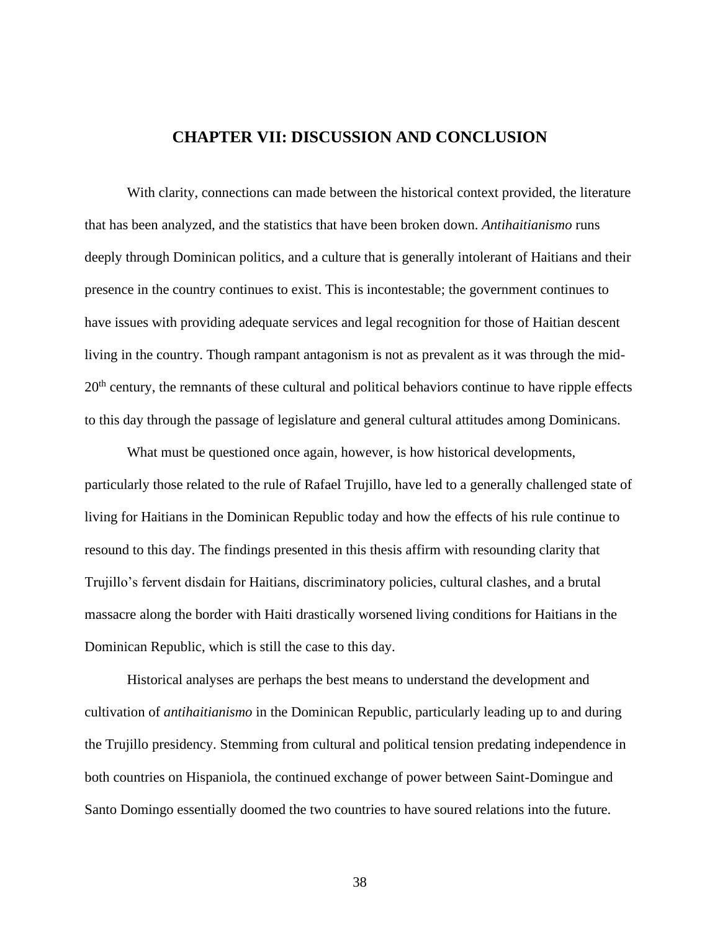## **CHAPTER VII: DISCUSSION AND CONCLUSION**

<span id="page-43-0"></span>With clarity, connections can made between the historical context provided, the literature that has been analyzed, and the statistics that have been broken down. *Antihaitianismo* runs deeply through Dominican politics, and a culture that is generally intolerant of Haitians and their presence in the country continues to exist. This is incontestable; the government continues to have issues with providing adequate services and legal recognition for those of Haitian descent living in the country. Though rampant antagonism is not as prevalent as it was through the mid-20<sup>th</sup> century, the remnants of these cultural and political behaviors continue to have ripple effects to this day through the passage of legislature and general cultural attitudes among Dominicans.

What must be questioned once again, however, is how historical developments, particularly those related to the rule of Rafael Trujillo, have led to a generally challenged state of living for Haitians in the Dominican Republic today and how the effects of his rule continue to resound to this day. The findings presented in this thesis affirm with resounding clarity that Trujillo's fervent disdain for Haitians, discriminatory policies, cultural clashes, and a brutal massacre along the border with Haiti drastically worsened living conditions for Haitians in the Dominican Republic, which is still the case to this day.

Historical analyses are perhaps the best means to understand the development and cultivation of *antihaitianismo* in the Dominican Republic, particularly leading up to and during the Trujillo presidency. Stemming from cultural and political tension predating independence in both countries on Hispaniola, the continued exchange of power between Saint-Domingue and Santo Domingo essentially doomed the two countries to have soured relations into the future.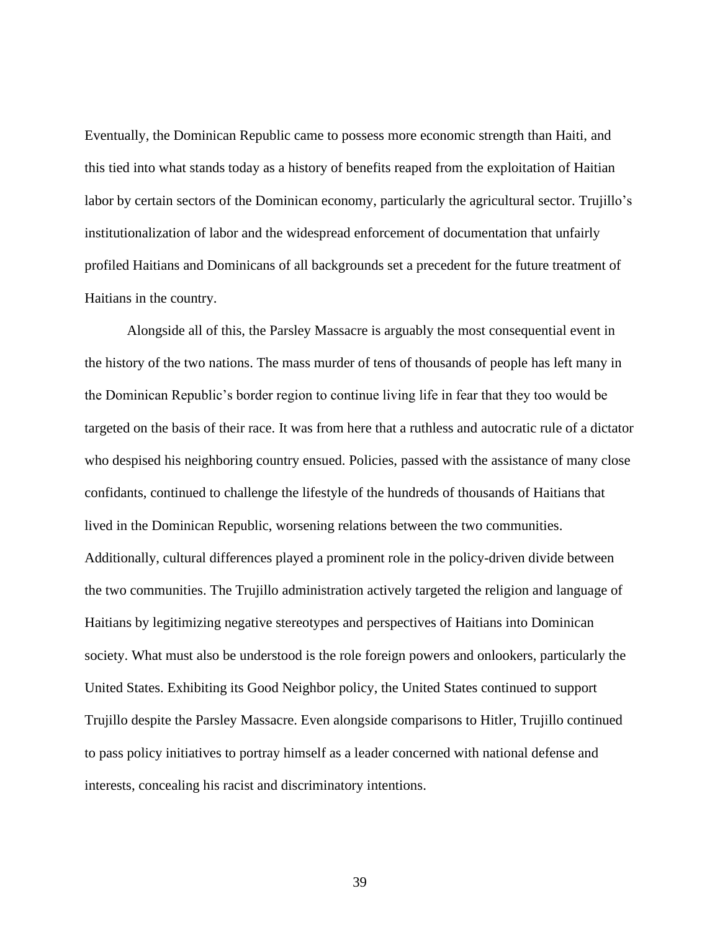Eventually, the Dominican Republic came to possess more economic strength than Haiti, and this tied into what stands today as a history of benefits reaped from the exploitation of Haitian labor by certain sectors of the Dominican economy, particularly the agricultural sector. Trujillo's institutionalization of labor and the widespread enforcement of documentation that unfairly profiled Haitians and Dominicans of all backgrounds set a precedent for the future treatment of Haitians in the country.

Alongside all of this, the Parsley Massacre is arguably the most consequential event in the history of the two nations. The mass murder of tens of thousands of people has left many in the Dominican Republic's border region to continue living life in fear that they too would be targeted on the basis of their race. It was from here that a ruthless and autocratic rule of a dictator who despised his neighboring country ensued. Policies, passed with the assistance of many close confidants, continued to challenge the lifestyle of the hundreds of thousands of Haitians that lived in the Dominican Republic, worsening relations between the two communities. Additionally, cultural differences played a prominent role in the policy-driven divide between the two communities. The Trujillo administration actively targeted the religion and language of Haitians by legitimizing negative stereotypes and perspectives of Haitians into Dominican society. What must also be understood is the role foreign powers and onlookers, particularly the United States. Exhibiting its Good Neighbor policy, the United States continued to support Trujillo despite the Parsley Massacre. Even alongside comparisons to Hitler, Trujillo continued to pass policy initiatives to portray himself as a leader concerned with national defense and interests, concealing his racist and discriminatory intentions.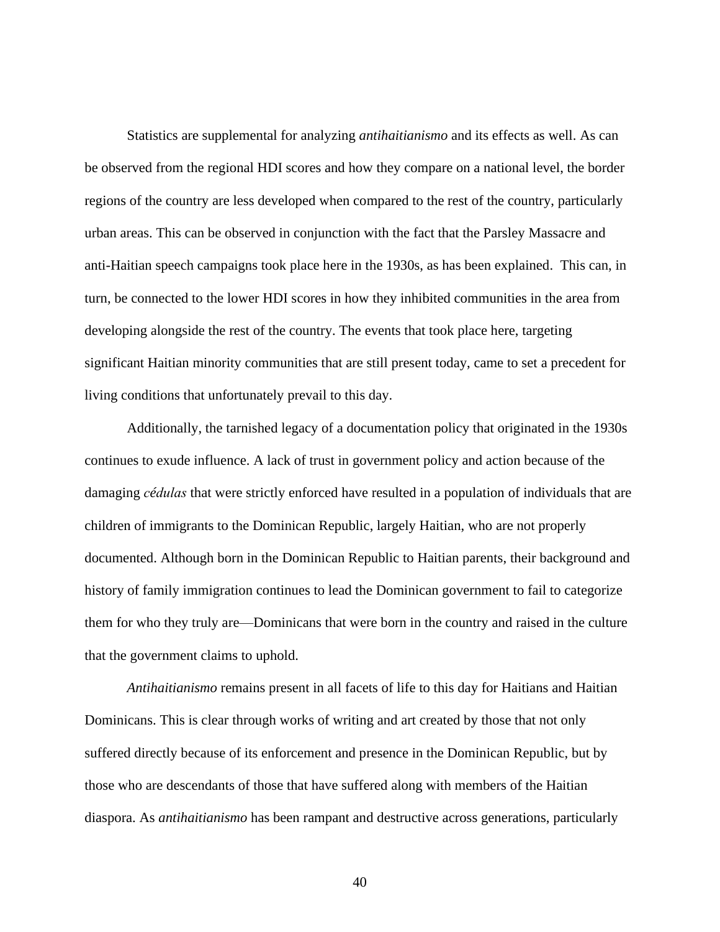Statistics are supplemental for analyzing *antihaitianismo* and its effects as well. As can be observed from the regional HDI scores and how they compare on a national level, the border regions of the country are less developed when compared to the rest of the country, particularly urban areas. This can be observed in conjunction with the fact that the Parsley Massacre and anti-Haitian speech campaigns took place here in the 1930s, as has been explained. This can, in turn, be connected to the lower HDI scores in how they inhibited communities in the area from developing alongside the rest of the country. The events that took place here, targeting significant Haitian minority communities that are still present today, came to set a precedent for living conditions that unfortunately prevail to this day.

Additionally, the tarnished legacy of a documentation policy that originated in the 1930s continues to exude influence. A lack of trust in government policy and action because of the damaging *cédulas* that were strictly enforced have resulted in a population of individuals that are children of immigrants to the Dominican Republic, largely Haitian, who are not properly documented. Although born in the Dominican Republic to Haitian parents, their background and history of family immigration continues to lead the Dominican government to fail to categorize them for who they truly are—Dominicans that were born in the country and raised in the culture that the government claims to uphold.

*Antihaitianismo* remains present in all facets of life to this day for Haitians and Haitian Dominicans. This is clear through works of writing and art created by those that not only suffered directly because of its enforcement and presence in the Dominican Republic, but by those who are descendants of those that have suffered along with members of the Haitian diaspora. As *antihaitianismo* has been rampant and destructive across generations, particularly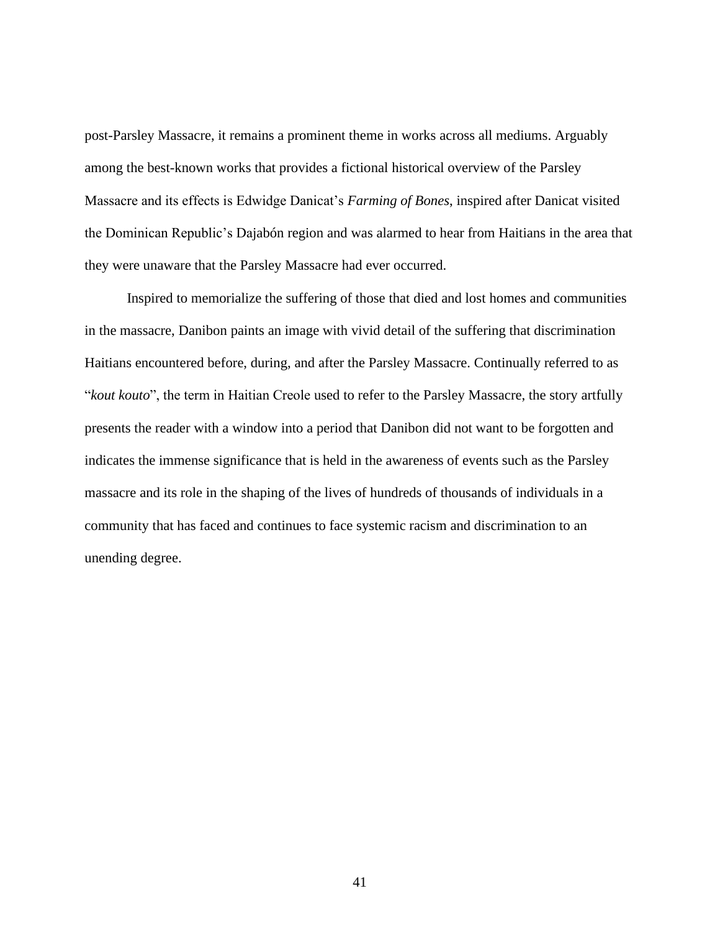post-Parsley Massacre, it remains a prominent theme in works across all mediums. Arguably among the best-known works that provides a fictional historical overview of the Parsley Massacre and its effects is Edwidge Danicat's *Farming of Bones*, inspired after Danicat visited the Dominican Republic's Dajabón region and was alarmed to hear from Haitians in the area that they were unaware that the Parsley Massacre had ever occurred.

Inspired to memorialize the suffering of those that died and lost homes and communities in the massacre, Danibon paints an image with vivid detail of the suffering that discrimination Haitians encountered before, during, and after the Parsley Massacre. Continually referred to as "*kout kouto*", the term in Haitian Creole used to refer to the Parsley Massacre, the story artfully presents the reader with a window into a period that Danibon did not want to be forgotten and indicates the immense significance that is held in the awareness of events such as the Parsley massacre and its role in the shaping of the lives of hundreds of thousands of individuals in a community that has faced and continues to face systemic racism and discrimination to an unending degree.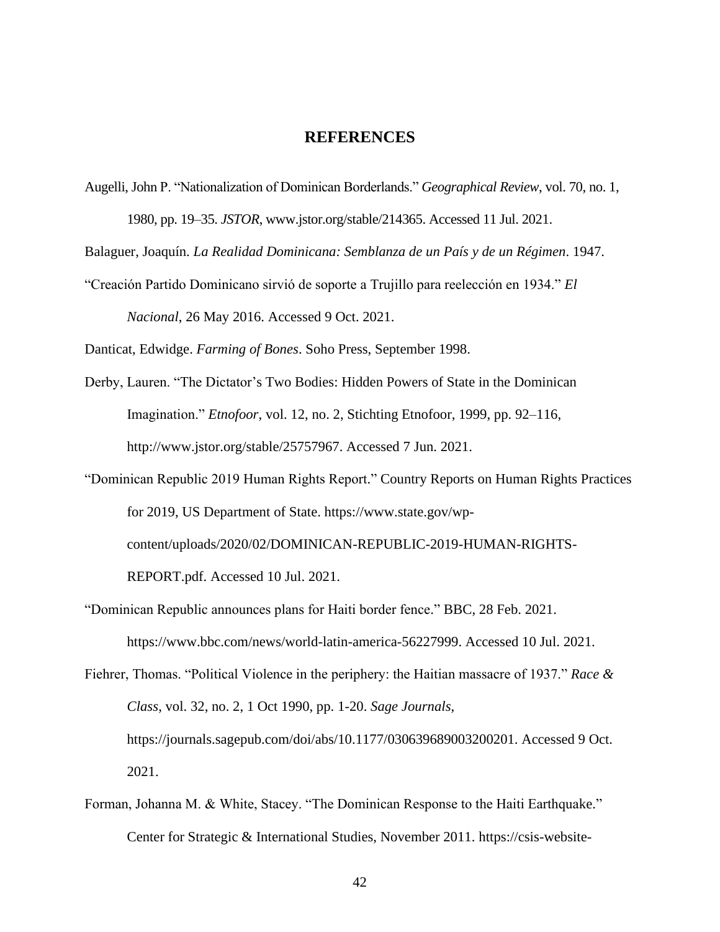### **REFERENCES**

<span id="page-47-0"></span>Augelli, John P. "Nationalization of Dominican Borderlands." *Geographical Review*, vol. 70, no. 1, 1980, pp. 19–35. *JSTOR*, www.jstor.org/stable/214365. Accessed 11 Jul. 2021.

Balaguer, Joaquín. *La Realidad Dominicana: Semblanza de un País y de un Régimen*. 1947.

"Creación Partido Dominicano sirvió de soporte a Trujillo para reelección en 1934." *El Nacional*, 26 May 2016. Accessed 9 Oct. 2021.

Danticat, Edwidge. *Farming of Bones*. Soho Press, September 1998.

- Derby, Lauren. "The Dictator's Two Bodies: Hidden Powers of State in the Dominican Imagination." *Etnofoor*, vol. 12, no. 2, Stichting Etnofoor, 1999, pp. 92–116, http://www.jstor.org/stable/25757967. Accessed 7 Jun. 2021.
- "Dominican Republic 2019 Human Rights Report." Country Reports on Human Rights Practices for 2019, US Department of State. https://www.state.gov/wpcontent/uploads/2020/02/DOMINICAN-REPUBLIC-2019-HUMAN-RIGHTS-REPORT.pdf. Accessed 10 Jul. 2021.
- "Dominican Republic announces plans for Haiti border fence." BBC, 28 Feb. 2021. https://www.bbc.com/news/world-latin-america-56227999. Accessed 10 Jul. 2021.

Fiehrer, Thomas. "Political Violence in the periphery: the Haitian massacre of 1937." *Race & Class*, vol. 32, no. 2, 1 Oct 1990, pp. 1-20. *Sage Journals*, https://journals.sagepub.com/doi/abs/10.1177/030639689003200201. Accessed 9 Oct. 2021.

Forman, Johanna M. & White, Stacey. "The Dominican Response to the Haiti Earthquake." Center for Strategic & International Studies, November 2011. https://csis-website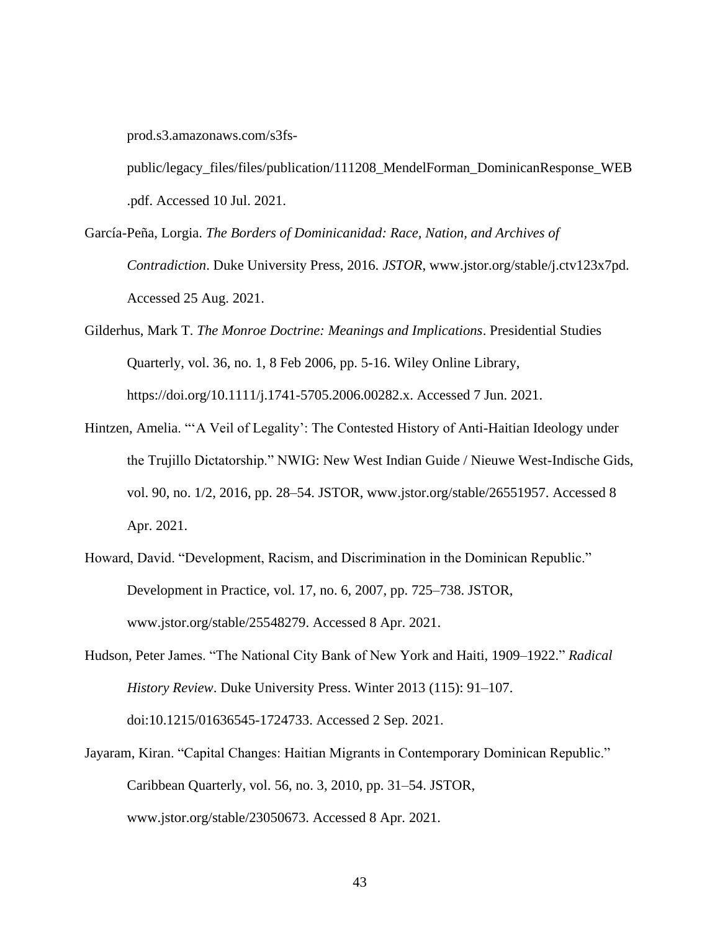prod.s3.amazonaws.com/s3fs-

public/legacy\_files/files/publication/111208\_MendelForman\_DominicanResponse\_WEB .pdf. Accessed 10 Jul. 2021.

- García-Peña, Lorgia. *The Borders of Dominicanidad: Race, Nation, and Archives of Contradiction*. Duke University Press, 2016. *JSTOR*, www.jstor.org/stable/j.ctv123x7pd. Accessed 25 Aug. 2021.
- Gilderhus, Mark T. *The Monroe Doctrine: Meanings and Implications*. Presidential Studies Quarterly, vol. 36, no. 1, 8 Feb 2006, pp. 5-16. Wiley Online Library, https://doi.org/10.1111/j.1741-5705.2006.00282.x. Accessed 7 Jun. 2021.
- Hintzen, Amelia. "'A Veil of Legality': The Contested History of Anti-Haitian Ideology under the Trujillo Dictatorship." NWIG: New West Indian Guide / Nieuwe West-Indische Gids, vol. 90, no. 1/2, 2016, pp. 28–54. JSTOR, www.jstor.org/stable/26551957. Accessed 8 Apr. 2021.
- Howard, David. "Development, Racism, and Discrimination in the Dominican Republic." Development in Practice, vol. 17, no. 6, 2007, pp. 725–738. JSTOR, www.jstor.org/stable/25548279. Accessed 8 Apr. 2021.
- Hudson, Peter James. "The National City Bank of New York and Haiti, 1909–1922." *Radical History Review*. Duke University Press. Winter 2013 (115): 91–107. doi:10.1215/01636545-1724733. Accessed 2 Sep. 2021.
- Jayaram, Kiran. "Capital Changes: Haitian Migrants in Contemporary Dominican Republic." Caribbean Quarterly, vol. 56, no. 3, 2010, pp. 31–54. JSTOR, www.jstor.org/stable/23050673. Accessed 8 Apr. 2021.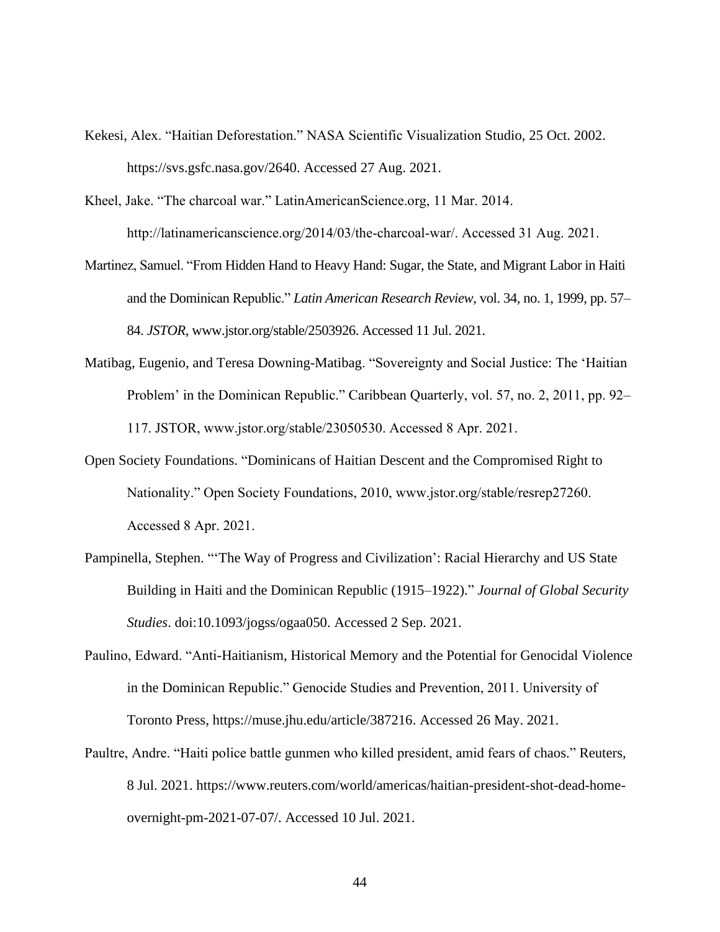- Kekesi, Alex. "Haitian Deforestation." NASA Scientific Visualization Studio, 25 Oct. 2002. https://svs.gsfc.nasa.gov/2640. Accessed 27 Aug. 2021.
- Kheel, Jake. "The charcoal war." LatinAmericanScience.org, 11 Mar. 2014. http://latinamericanscience.org/2014/03/the-charcoal-war/. Accessed 31 Aug. 2021.
- Martinez, Samuel. "From Hidden Hand to Heavy Hand: Sugar, the State, and Migrant Labor in Haiti and the Dominican Republic." *Latin American Research Review*, vol. 34, no. 1, 1999, pp. 57– 84. *JSTOR*, www.jstor.org/stable/2503926. Accessed 11 Jul. 2021.
- Matibag, Eugenio, and Teresa Downing-Matibag. "Sovereignty and Social Justice: The 'Haitian Problem' in the Dominican Republic." Caribbean Quarterly, vol. 57, no. 2, 2011, pp. 92– 117. JSTOR, www.jstor.org/stable/23050530. Accessed 8 Apr. 2021.
- Open Society Foundations. "Dominicans of Haitian Descent and the Compromised Right to Nationality." Open Society Foundations, 2010, www.jstor.org/stable/resrep27260. Accessed 8 Apr. 2021.
- Pampinella, Stephen. "'The Way of Progress and Civilization': Racial Hierarchy and US State Building in Haiti and the Dominican Republic (1915–1922)." *Journal of Global Security Studies*. doi:10.1093/jogss/ogaa050. Accessed 2 Sep. 2021.
- Paulino, Edward. "Anti-Haitianism, Historical Memory and the Potential for Genocidal Violence in the Dominican Republic." Genocide Studies and Prevention, 2011. University of Toronto Press, https://muse.jhu.edu/article/387216. Accessed 26 May. 2021.
- Paultre, Andre. "Haiti police battle gunmen who killed president, amid fears of chaos." Reuters, 8 Jul. 2021. https://www.reuters.com/world/americas/haitian-president-shot-dead-homeovernight-pm-2021-07-07/. Accessed 10 Jul. 2021.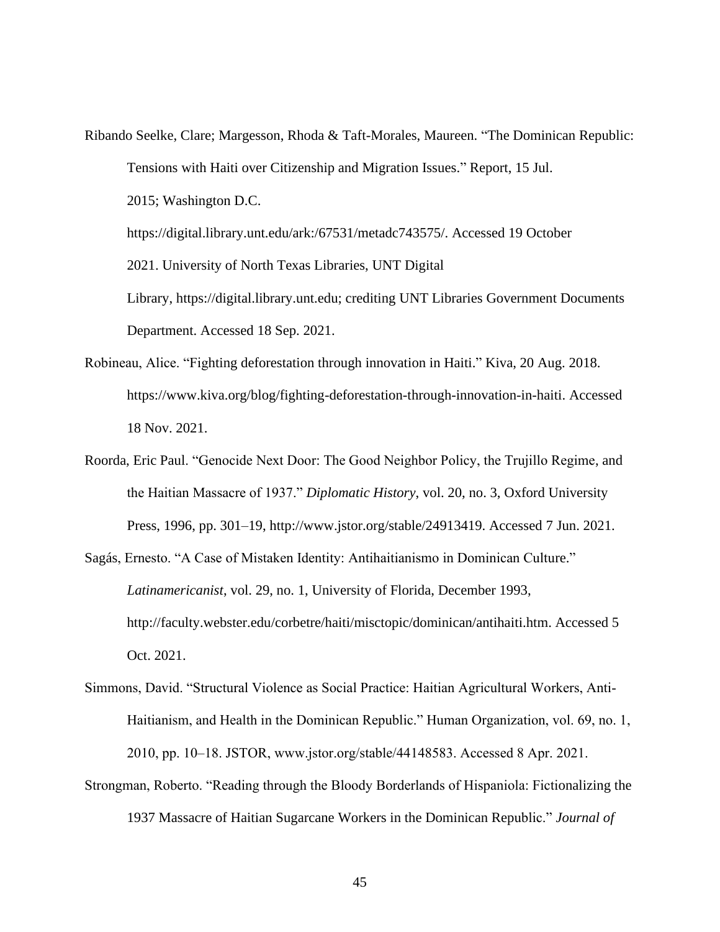- Ribando Seelke, Clare; Margesson, Rhoda & Taft-Morales, Maureen. "The Dominican Republic: Tensions with Haiti over Citizenship and Migration Issues." Report, 15 Jul. 2015; Washington D.C. https://digital.library.unt.edu/ark:/67531/metadc743575/. Accessed 19 October 2021. University of North Texas Libraries, UNT Digital Library, https://digital.library.unt.edu; crediting UNT Libraries Government Documents Department. Accessed 18 Sep. 2021.
- Robineau, Alice. "Fighting deforestation through innovation in Haiti." Kiva, 20 Aug. 2018. https://www.kiva.org/blog/fighting-deforestation-through-innovation-in-haiti. Accessed 18 Nov. 2021.
- Roorda, Eric Paul. "Genocide Next Door: The Good Neighbor Policy, the Trujillo Regime, and the Haitian Massacre of 1937." *Diplomatic History*, vol. 20, no. 3, Oxford University Press, 1996, pp. 301–19, http://www.jstor.org/stable/24913419. Accessed 7 Jun. 2021.

Sagás, Ernesto. "A Case of Mistaken Identity: Antihaitianismo in Dominican Culture." *Latinamericanist*, vol. 29, no. 1, University of Florida, December 1993, http://faculty.webster.edu/corbetre/haiti/misctopic/dominican/antihaiti.htm. Accessed 5 Oct. 2021.

- Simmons, David. "Structural Violence as Social Practice: Haitian Agricultural Workers, Anti-Haitianism, and Health in the Dominican Republic." Human Organization, vol. 69, no. 1, 2010, pp. 10–18. JSTOR, www.jstor.org/stable/44148583. Accessed 8 Apr. 2021.
- Strongman, Roberto. "Reading through the Bloody Borderlands of Hispaniola: Fictionalizing the 1937 Massacre of Haitian Sugarcane Workers in the Dominican Republic." *Journal of*